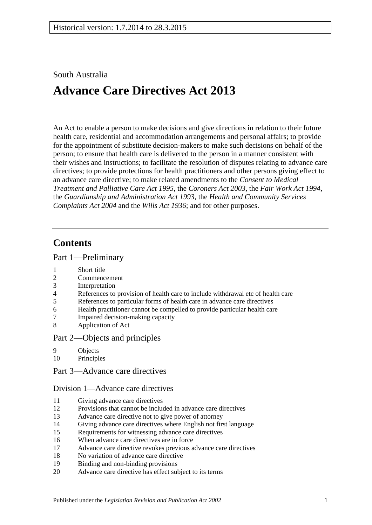# South Australia

# **Advance Care Directives Act 2013**

An Act to enable a person to make decisions and give directions in relation to their future health care, residential and accommodation arrangements and personal affairs; to provide for the appointment of substitute decision-makers to make such decisions on behalf of the person; to ensure that health care is delivered to the person in a manner consistent with their wishes and instructions; to facilitate the resolution of disputes relating to advance care directives; to provide protections for health practitioners and other persons giving effect to an advance care directive; to make related amendments to the *[Consent to Medical](http://www.legislation.sa.gov.au/index.aspx?action=legref&type=act&legtitle=Consent%20to%20Medical%20Treatment%20and%20Palliative%20Care%20Act%201995)  [Treatment and Palliative Care Act](http://www.legislation.sa.gov.au/index.aspx?action=legref&type=act&legtitle=Consent%20to%20Medical%20Treatment%20and%20Palliative%20Care%20Act%201995) 1995*, the *[Coroners Act](http://www.legislation.sa.gov.au/index.aspx?action=legref&type=act&legtitle=Coroners%20Act%202003) 2003*, the *[Fair Work Act](http://www.legislation.sa.gov.au/index.aspx?action=legref&type=act&legtitle=Fair%20Work%20Act%201994) 1994*, the *[Guardianship and Administration Act](http://www.legislation.sa.gov.au/index.aspx?action=legref&type=act&legtitle=Guardianship%20and%20Administration%20Act%201993) 1993*, the *[Health and Community Services](http://www.legislation.sa.gov.au/index.aspx?action=legref&type=act&legtitle=Health%20and%20Community%20Services%20Complaints%20Act%202004)  [Complaints Act](http://www.legislation.sa.gov.au/index.aspx?action=legref&type=act&legtitle=Health%20and%20Community%20Services%20Complaints%20Act%202004) 2004* and the *[Wills Act](http://www.legislation.sa.gov.au/index.aspx?action=legref&type=act&legtitle=Wills%20Act%201936) 1936*; and for other purposes.

# **Contents**

### Part [1—Preliminary](#page-4-0)

- 1 [Short title](#page-4-1)
- 2 [Commencement](#page-4-2)
- 3 [Interpretation](#page-4-3)
- 4 [References to provision of health care to include withdrawal etc of health care](#page-5-0)
- 5 [References to particular forms of health care in advance care directives](#page-5-1)
- 6 [Health practitioner cannot be compelled to provide particular health care](#page-5-2)
- 7 [Impaired decision-making capacity](#page-6-0)
- 8 [Application of Act](#page-7-0)

### Part [2—Objects and principles](#page-7-1)

- 9 [Objects](#page-7-2)
- 10 [Principles](#page-7-3)
- Part [3—Advance care directives](#page-8-0)

### Division [1—Advance care directives](#page-8-1)

- 11 [Giving advance care directives](#page-8-2)
- 12 [Provisions that cannot be included in advance care directives](#page-10-0)
- 13 [Advance care directive not to give power of attorney](#page-10-1)
- 14 [Giving advance care directives where English not first language](#page-11-0)
- 15 [Requirements for witnessing advance care directives](#page-11-1)
- 16 [When advance care directives are in force](#page-12-0)
- 17 [Advance care directive revokes previous advance care directives](#page-12-1)
- 18 [No variation of advance care directive](#page-13-0)
- 19 [Binding and non-binding provisions](#page-13-1)
- 20 [Advance care directive has effect subject to its terms](#page-13-2)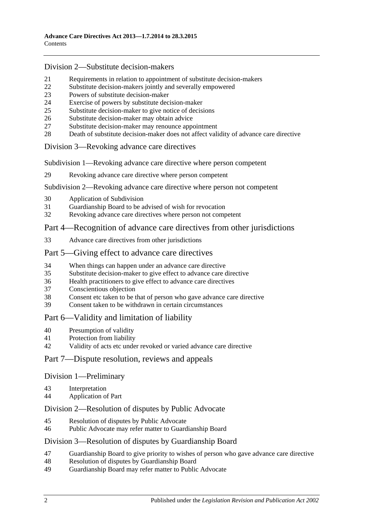### Division [2—Substitute decision-makers](#page-13-3)

- [Requirements in relation to appointment of substitute decision-makers](#page-13-4)<br>22 Substitute decision-makers jointly and severally empowered
- [Substitute decision-makers jointly and severally empowered](#page-14-0)
- [Powers of substitute decision-maker](#page-14-1)
- [Exercise of powers by substitute decision-maker](#page-14-2)
- [Substitute decision-maker to give notice of decisions](#page-15-0)
- [Substitute decision-maker may obtain advice](#page-15-1)
- [Substitute decision-maker may renounce appointment](#page-15-2)
- [Death of substitute decision-maker does not affect validity of advance care directive](#page-15-3)

### Division [3—Revoking advance care directives](#page-16-0)

Subdivision [1—Revoking advance care directive where person competent](#page-16-1)

[Revoking advance care directive where person competent](#page-16-2)

### Subdivision [2—Revoking advance care directive where person not competent](#page-16-3)

- [Application of Subdivision](#page-16-4)
- [Guardianship Board to be advised of wish for revocation](#page-16-5)
- [Revoking advance care directives where person not competent](#page-17-0)

# Part [4—Recognition of advance care directives from other jurisdictions](#page-18-0)

[Advance care directives from other jurisdictions](#page-18-1)

### Part [5—Giving effect to advance care directives](#page-18-2)

- [When things can happen under an advance care directive](#page-18-3)
- [Substitute decision-maker to give effect to advance care directive](#page-19-0)
- [Health practitioners to give effect to advance care directives](#page-19-1)
- [Conscientious objection](#page-20-0)
- [Consent etc taken to be that of person who gave advance care directive](#page-20-1)
- [Consent taken to be withdrawn in certain circumstances](#page-20-2)

# Part [6—Validity and limitation of liability](#page-21-0)

- [Presumption of validity](#page-21-1)
- [Protection from liability](#page-21-2)
- [Validity of acts etc under revoked or varied advance care directive](#page-21-3)

### Part [7—Dispute resolution, reviews and appeals](#page-21-4)

### Division [1—Preliminary](#page-21-5)

- [Interpretation](#page-21-6)
- [Application of Part](#page-22-0)

### Division [2—Resolution of disputes by Public Advocate](#page-22-1)

- [Resolution of disputes by Public Advocate](#page-22-2)
- [Public Advocate may refer matter to Guardianship Board](#page-23-0)

### Division [3—Resolution of disputes by Guardianship Board](#page-24-0)

- [Guardianship Board to give priority to wishes of person who gave advance care directive](#page-24-1)
- [Resolution of disputes by Guardianship Board](#page-24-2)
- [Guardianship Board may refer matter to Public Advocate](#page-25-0)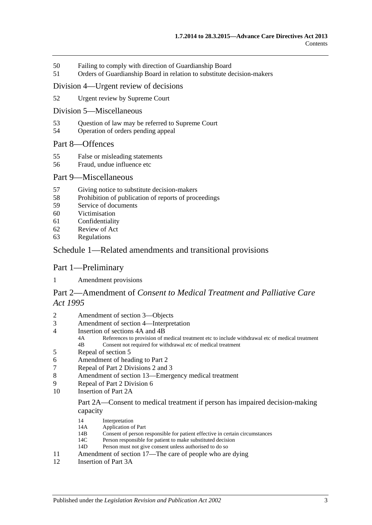- 50 [Failing to comply with direction of](#page-25-1) Guardianship Board
- 51 [Orders of Guardianship Board in relation to substitute decision-makers](#page-26-0)

#### Division [4—Urgent review of decisions](#page-27-0)

52 [Urgent review by Supreme Court](#page-27-1)

#### Division [5—Miscellaneous](#page-27-2)

- 53 [Question of law may be referred to Supreme Court](#page-27-3)
- 54 [Operation of orders pending appeal](#page-28-0)

### Part [8—Offences](#page-28-1)

- 55 [False or misleading statements](#page-28-2)
- 56 [Fraud, undue influence etc](#page-28-3)

#### Part [9—Miscellaneous](#page-29-0)

- 57 [Giving notice to substitute decision-makers](#page-29-1)
- 58 [Prohibition of publication of reports of proceedings](#page-29-2)
- 59 [Service of documents](#page-29-3)
- 60 [Victimisation](#page-30-0)
- 61 [Confidentiality](#page-30-1)
- 62 [Review of Act](#page-31-0)
- 63 [Regulations](#page-31-1)

### Schedule [1—Related amendments and transitional provisions](#page-32-0)

### Part 1—Preliminary

1 [Amendment provisions](#page-32-1)

# Part 2—Amendment of *Consent to Medical Treatment and Palliative Care Act 1995*

- 2 [Amendment of section 3—Objects](#page-32-2)
- 3 [Amendment of section 4—Interpretation](#page-32-3)
- 4 [Insertion of sections 4A and 4B](#page-34-0)<br>4A References to provision of n
	- 4A References to provision of medical treatment etc to include withdrawal etc of medical treatment<br>4B Consent not required for withdrawal etc of medical treatment Consent not required for withdrawal etc of medical treatment
- 5 [Repeal of section 5](#page-34-1)
- 6 [Amendment of heading to Part 2](#page-34-2)
- 7 [Repeal of Part 2 Divisions 2 and 3](#page-34-3)
- 8 [Amendment of section 13—Emergency medical treatment](#page-34-4)
- 9 [Repeal of Part 2 Division 6](#page-36-0)
- 10 [Insertion of Part 2A](#page-36-1)

#### Part 2A—Consent to medical treatment if person has impaired decision-making capacity

- 14 Interpretation<br>14A Application of
- 14A Application of Part<br>14R Consent of person r
- 14B Consent of person responsible for patient effective in certain circumstances<br>14C Person responsible for patient to make substituted decision
- 14C Person responsible for patient to make substituted decision<br>14D Person must not give consent unless authorised to do so
- Person must not give consent unless authorised to do so
- 11 [Amendment of section 17—The care of people who are dying](#page-40-0)<br>12 Insertion of Part 3A
- [Insertion of Part 3A](#page-40-1)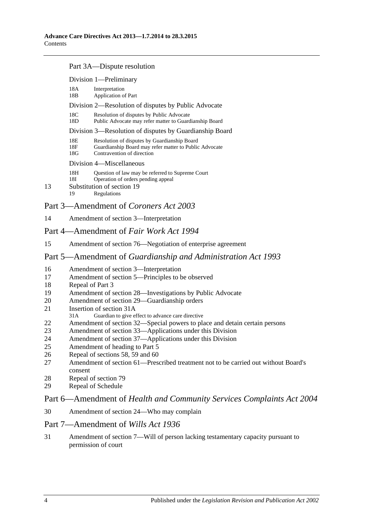#### Part 3A—Dispute resolution

|                                       |                                                         | Division 1-Preliminary                                                                                                               |  |  |  |
|---------------------------------------|---------------------------------------------------------|--------------------------------------------------------------------------------------------------------------------------------------|--|--|--|
|                                       | 18A<br>18B                                              | Interpretation<br><b>Application of Part</b>                                                                                         |  |  |  |
|                                       | Division 2—Resolution of disputes by Public Advocate    |                                                                                                                                      |  |  |  |
|                                       | 18C<br>18D                                              | Resolution of disputes by Public Advocate<br>Public Advocate may refer matter to Guardianship Board                                  |  |  |  |
|                                       | Division 3—Resolution of disputes by Guardianship Board |                                                                                                                                      |  |  |  |
|                                       | 18E<br>18F<br>18G                                       | Resolution of disputes by Guardianship Board<br>Guardianship Board may refer matter to Public Advocate<br>Contravention of direction |  |  |  |
|                                       | Division 4—Miscellaneous                                |                                                                                                                                      |  |  |  |
| 13                                    | 18H<br>18I<br>19                                        | Question of law may be referred to Supreme Court<br>Operation of orders pending appeal<br>Substitution of section 19<br>Regulations  |  |  |  |
| Part 3—Amendment of Coroners Act 2003 |                                                         |                                                                                                                                      |  |  |  |

# 14 [Amendment of section 3—Interpretation](#page-46-0)

### Part 4—Amendment of *Fair Work Act 1994*

15 [Amendment of section 76—Negotiation of enterprise agreement](#page-46-1)

### Part 5—Amendment of *Guardianship and Administration Act 1993*

- 16 [Amendment of section 3—Interpretation](#page-46-2)
- 17 [Amendment of section 5—Principles to be observed](#page-48-0)
- 18 [Repeal of Part 3](#page-48-1)
- 19 [Amendment of section 28—Investigations by Public Advocate](#page-48-2)
- 20 [Amendment of section 29—Guardianship orders](#page-48-3)
- 21 [Insertion of section 31A](#page-48-4)<br>31A Guardian to give et
- Guardian to give effect to advance care directive
- 22 [Amendment of section 32—Special powers to place and detain certain persons](#page-49-0)
- 23 [Amendment of section 33—Applications under this Division](#page-50-0)
- 24 [Amendment of section 37—Applications under this Division](#page-50-1)<br>25 Amendment of heading to Part 5
- [Amendment of heading to Part 5](#page-50-2)
- 26 [Repeal of sections 58, 59 and 60](#page-50-3)
- 27 [Amendment of section 61—Prescribed treatment not to be carried out without Board's](#page-50-4)  [consent](#page-50-4)
- 28 [Repeal of section 79](#page-50-5)
- 29 [Repeal of Schedule](#page-50-6)

# Part 6—Amendment of *Health and Community Services Complaints Act 2004*

30 [Amendment of section 24—Who may complain](#page-50-7)

### Part 7—Amendment of *Wills Act 1936*

31 [Amendment of section 7—Will of person lacking testamentary capacity pursuant to](#page-51-0)  [permission of court](#page-51-0)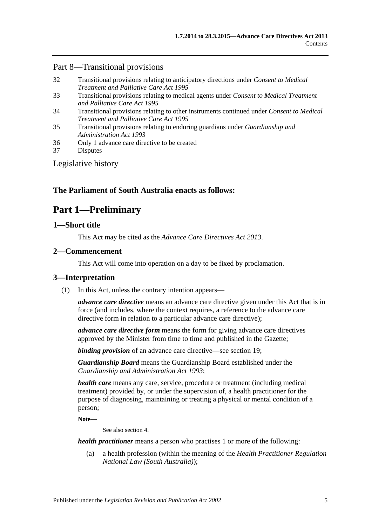# Part 8—Transitional provisions

- 32 [Transitional provisions relating to anticipatory directions under](#page-51-1) *Consent to Medical [Treatment and Palliative Care Act](#page-51-1) 1995*
- 33 [Transitional provisions relating to medical agents under](#page-52-0) *Consent to Medical Treatment [and Palliative Care Act](#page-52-0) 1995*
- 34 [Transitional provisions relating to other instruments continued under](#page-52-1) *Consent to Medical [Treatment and Palliative Care Act](#page-52-1) 1995*
- 35 [Transitional provisions relating to enduring guardians under](#page-53-0) *Guardianship and [Administration Act](#page-53-0) 1993*
- 36 [Only 1 advance care directive to be created](#page-54-0)
- 37 [Disputes](#page-54-1)

[Legislative history](#page-55-0)

# <span id="page-4-0"></span>**The Parliament of South Australia enacts as follows:**

# **Part 1—Preliminary**

### <span id="page-4-1"></span>**1—Short title**

This Act may be cited as the *Advance Care Directives Act 2013*.

# <span id="page-4-2"></span>**2—Commencement**

This Act will come into operation on a day to be fixed by proclamation.

# <span id="page-4-4"></span><span id="page-4-3"></span>**3—Interpretation**

(1) In this Act, unless the contrary intention appears—

*advance care directive* means an advance care directive given under this Act that is in force (and includes, where the context requires, a reference to the advance care directive form in relation to a particular advance care directive);

*advance care directive form* means the form for giving advance care directives approved by the Minister from time to time and published in the Gazette;

*binding provision* of an advance care directive—see [section](#page-13-1) 19;

*Guardianship Board* means the Guardianship Board established under the *[Guardianship and Administration Act](http://www.legislation.sa.gov.au/index.aspx?action=legref&type=act&legtitle=Guardianship%20and%20Administration%20Act%201993) 1993*;

*health care* means any care, service, procedure or treatment (including medical treatment) provided by, or under the supervision of, a health practitioner for the purpose of diagnosing, maintaining or treating a physical or mental condition of a person;

**Note—**

See also [section](#page-5-0) 4.

*health practitioner* means a person who practises 1 or more of the following:

(a) a health profession (within the meaning of the *Health Practitioner Regulation National Law (South Australia)*);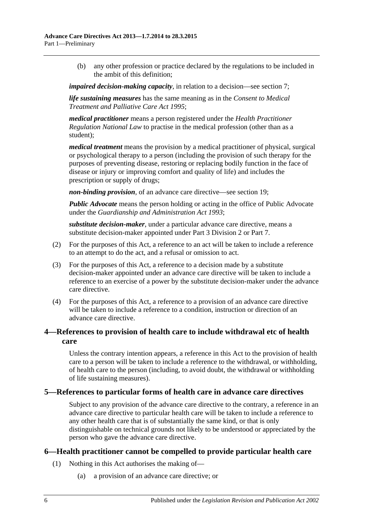(b) any other profession or practice declared by the regulations to be included in the ambit of this definition;

*impaired decision-making capacity*, in relation to a decision—see [section](#page-6-0) 7;

*life sustaining measures* has the same meaning as in the *[Consent to Medical](http://www.legislation.sa.gov.au/index.aspx?action=legref&type=act&legtitle=Consent%20to%20Medical%20Treatment%20and%20Palliative%20Care%20Act%201995)  [Treatment and Palliative Care Act](http://www.legislation.sa.gov.au/index.aspx?action=legref&type=act&legtitle=Consent%20to%20Medical%20Treatment%20and%20Palliative%20Care%20Act%201995) 1995*;

*medical practitioner* means a person registered under the *Health Practitioner Regulation National Law* to practise in the medical profession (other than as a student);

*medical treatment* means the provision by a medical practitioner of physical, surgical or psychological therapy to a person (including the provision of such therapy for the purposes of preventing disease, restoring or replacing bodily function in the face of disease or injury or improving comfort and quality of life) and includes the prescription or supply of drugs;

*non-binding provision*, of an advance care directive—see [section](#page-13-1) 19;

*Public Advocate* means the person holding or acting in the office of Public Advocate under the *[Guardianship and Administration Act](http://www.legislation.sa.gov.au/index.aspx?action=legref&type=act&legtitle=Guardianship%20and%20Administration%20Act%201993) 1993*;

*substitute decision-maker*, under a particular advance care directive, means a substitute decision-maker appointed under Part [3 Division](#page-13-3) 2 or [Part](#page-21-4) 7.

- (2) For the purposes of this Act, a reference to an act will be taken to include a reference to an attempt to do the act, and a refusal or omission to act.
- (3) For the purposes of this Act, a reference to a decision made by a substitute decision-maker appointed under an advance care directive will be taken to include a reference to an exercise of a power by the substitute decision-maker under the advance care directive.
- (4) For the purposes of this Act, a reference to a provision of an advance care directive will be taken to include a reference to a condition, instruction or direction of an advance care directive.

# <span id="page-5-0"></span>**4—References to provision of health care to include withdrawal etc of health care**

Unless the contrary intention appears, a reference in this Act to the provision of health care to a person will be taken to include a reference to the withdrawal, or withholding, of health care to the person (including, to avoid doubt, the withdrawal or withholding of life sustaining measures).

### <span id="page-5-1"></span>**5—References to particular forms of health care in advance care directives**

Subject to any provision of the advance care directive to the contrary, a reference in an advance care directive to particular health care will be taken to include a reference to any other health care that is of substantially the same kind, or that is only distinguishable on technical grounds not likely to be understood or appreciated by the person who gave the advance care directive.

# <span id="page-5-3"></span><span id="page-5-2"></span>**6—Health practitioner cannot be compelled to provide particular health care**

- (1) Nothing in this Act authorises the making of—
	- (a) a provision of an advance care directive; or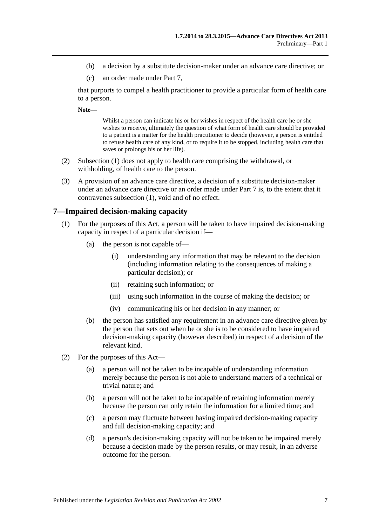- (b) a decision by a substitute decision-maker under an advance care directive; or
- (c) an order made under [Part](#page-21-4) 7,

that purports to compel a health practitioner to provide a particular form of health care to a person.

**Note—**

Whilst a person can indicate his or her wishes in respect of the health care he or she wishes to receive, ultimately the question of what form of health care should be provided to a patient is a matter for the health practitioner to decide (however, a person is entitled to refuse health care of any kind, or to require it to be stopped, including health care that saves or prolongs his or her life).

- (2) [Subsection](#page-5-3) (1) does not apply to health care comprising the withdrawal, or withholding, of health care to the person.
- (3) A provision of an advance care directive, a decision of a substitute decision-maker under an advance care directive or an order made under [Part](#page-21-4) 7 is, to the extent that it contravenes [subsection](#page-5-3) (1), void and of no effect.

#### <span id="page-6-0"></span>**7—Impaired decision-making capacity**

- (1) For the purposes of this Act, a person will be taken to have impaired decision-making capacity in respect of a particular decision if—
	- (a) the person is not capable of—
		- (i) understanding any information that may be relevant to the decision (including information relating to the consequences of making a particular decision); or
		- (ii) retaining such information; or
		- (iii) using such information in the course of making the decision; or
		- (iv) communicating his or her decision in any manner; or
	- (b) the person has satisfied any requirement in an advance care directive given by the person that sets out when he or she is to be considered to have impaired decision-making capacity (however described) in respect of a decision of the relevant kind.
- (2) For the purposes of this Act—
	- (a) a person will not be taken to be incapable of understanding information merely because the person is not able to understand matters of a technical or trivial nature; and
	- (b) a person will not be taken to be incapable of retaining information merely because the person can only retain the information for a limited time; and
	- (c) a person may fluctuate between having impaired decision-making capacity and full decision-making capacity; and
	- (d) a person's decision-making capacity will not be taken to be impaired merely because a decision made by the person results, or may result, in an adverse outcome for the person.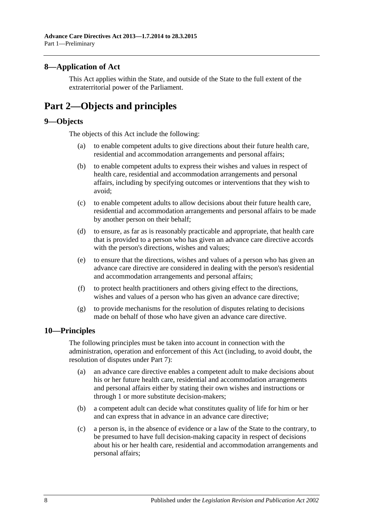# <span id="page-7-0"></span>**8—Application of Act**

This Act applies within the State, and outside of the State to the full extent of the extraterritorial power of the Parliament.

# <span id="page-7-1"></span>**Part 2—Objects and principles**

### <span id="page-7-2"></span>**9—Objects**

The objects of this Act include the following:

- (a) to enable competent adults to give directions about their future health care, residential and accommodation arrangements and personal affairs;
- (b) to enable competent adults to express their wishes and values in respect of health care, residential and accommodation arrangements and personal affairs, including by specifying outcomes or interventions that they wish to avoid;
- (c) to enable competent adults to allow decisions about their future health care, residential and accommodation arrangements and personal affairs to be made by another person on their behalf;
- (d) to ensure, as far as is reasonably practicable and appropriate, that health care that is provided to a person who has given an advance care directive accords with the person's directions, wishes and values;
- (e) to ensure that the directions, wishes and values of a person who has given an advance care directive are considered in dealing with the person's residential and accommodation arrangements and personal affairs;
- (f) to protect health practitioners and others giving effect to the directions, wishes and values of a person who has given an advance care directive;
- (g) to provide mechanisms for the resolution of disputes relating to decisions made on behalf of those who have given an advance care directive.

# <span id="page-7-3"></span>**10—Principles**

The following principles must be taken into account in connection with the administration, operation and enforcement of this Act (including, to avoid doubt, the resolution of disputes under [Part](#page-21-4) 7):

- (a) an advance care directive enables a competent adult to make decisions about his or her future health care, residential and accommodation arrangements and personal affairs either by stating their own wishes and instructions or through 1 or more substitute decision-makers;
- (b) a competent adult can decide what constitutes quality of life for him or her and can express that in advance in an advance care directive;
- (c) a person is, in the absence of evidence or a law of the State to the contrary, to be presumed to have full decision-making capacity in respect of decisions about his or her health care, residential and accommodation arrangements and personal affairs;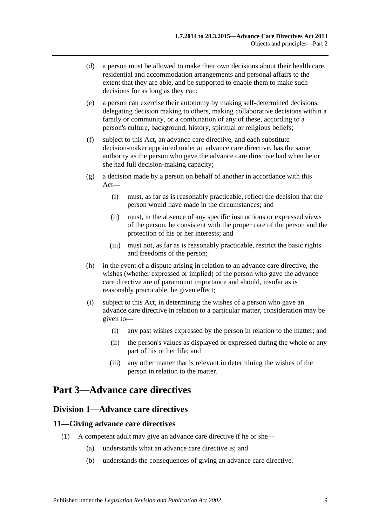- (d) a person must be allowed to make their own decisions about their health care, residential and accommodation arrangements and personal affairs to the extent that they are able, and be supported to enable them to make such decisions for as long as they can;
- (e) a person can exercise their autonomy by making self-determined decisions, delegating decision making to others, making collaborative decisions within a family or community, or a combination of any of these, according to a person's culture, background, history, spiritual or religious beliefs;
- (f) subject to this Act, an advance care directive, and each substitute decision-maker appointed under an advance care directive, has the same authority as the person who gave the advance care directive had when he or she had full decision-making capacity;
- (g) a decision made by a person on behalf of another in accordance with this Act—
	- (i) must, as far as is reasonably practicable, reflect the decision that the person would have made in the circumstances; and
	- (ii) must, in the absence of any specific instructions or expressed views of the person, be consistent with the proper care of the person and the protection of his or her interests; and
	- (iii) must not, as far as is reasonably practicable, restrict the basic rights and freedoms of the person;
- (h) in the event of a dispute arising in relation to an advance care directive, the wishes (whether expressed or implied) of the person who gave the advance care directive are of paramount importance and should, insofar as is reasonably practicable, be given effect;
- (i) subject to this Act, in determining the wishes of a person who gave an advance care directive in relation to a particular matter, consideration may be given to—
	- (i) any past wishes expressed by the person in relation to the matter; and
	- (ii) the person's values as displayed or expressed during the whole or any part of his or her life; and
	- (iii) any other matter that is relevant in determining the wishes of the person in relation to the matter.

# <span id="page-8-1"></span><span id="page-8-0"></span>**Part 3—Advance care directives**

# **Division 1—Advance care directives**

# <span id="page-8-2"></span>**11—Giving advance care directives**

- (1) A competent adult may give an advance care directive if he or she—
	- (a) understands what an advance care directive is; and
	- (b) understands the consequences of giving an advance care directive.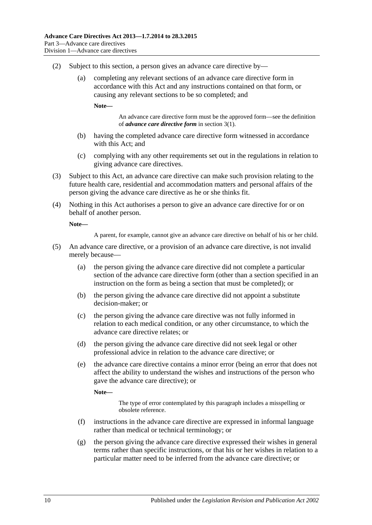- (2) Subject to this section, a person gives an advance care directive by—
	- (a) completing any relevant sections of an advance care directive form in accordance with this Act and any instructions contained on that form, or causing any relevant sections to be so completed; and

**Note—**

An advance care directive form must be the approved form—see the definition of *advance care directive form* i[n section](#page-4-4) 3(1).

- (b) having the completed advance care directive form witnessed in accordance with this Act; and
- (c) complying with any other requirements set out in the regulations in relation to giving advance care directives.
- (3) Subject to this Act, an advance care directive can make such provision relating to the future health care, residential and accommodation matters and personal affairs of the person giving the advance care directive as he or she thinks fit.
- (4) Nothing in this Act authorises a person to give an advance care directive for or on behalf of another person.

**Note—**

A parent, for example, cannot give an advance care directive on behalf of his or her child.

- (5) An advance care directive, or a provision of an advance care directive, is not invalid merely because—
	- (a) the person giving the advance care directive did not complete a particular section of the advance care directive form (other than a section specified in an instruction on the form as being a section that must be completed); or
	- (b) the person giving the advance care directive did not appoint a substitute decision-maker; or
	- (c) the person giving the advance care directive was not fully informed in relation to each medical condition, or any other circumstance, to which the advance care directive relates; or
	- (d) the person giving the advance care directive did not seek legal or other professional advice in relation to the advance care directive; or
	- (e) the advance care directive contains a minor error (being an error that does not affect the ability to understand the wishes and instructions of the person who gave the advance care directive); or

**Note—**

The type of error contemplated by this paragraph includes a misspelling or obsolete reference.

- (f) instructions in the advance care directive are expressed in informal language rather than medical or technical terminology; or
- (g) the person giving the advance care directive expressed their wishes in general terms rather than specific instructions, or that his or her wishes in relation to a particular matter need to be inferred from the advance care directive; or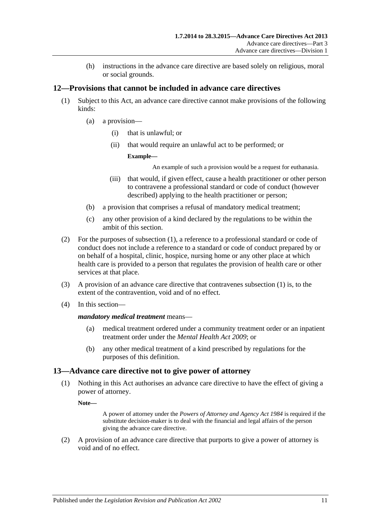(h) instructions in the advance care directive are based solely on religious, moral or social grounds.

# <span id="page-10-2"></span><span id="page-10-0"></span>**12—Provisions that cannot be included in advance care directives**

- (1) Subject to this Act, an advance care directive cannot make provisions of the following kinds:
	- (a) a provision—
		- (i) that is unlawful; or
		- (ii) that would require an unlawful act to be performed; or

#### **Example—**

An example of such a provision would be a request for euthanasia.

- (iii) that would, if given effect, cause a health practitioner or other person to contravene a professional standard or code of conduct (however described) applying to the health practitioner or person;
- <span id="page-10-3"></span>(b) a provision that comprises a refusal of mandatory medical treatment;
- (c) any other provision of a kind declared by the regulations to be within the ambit of this section.
- (2) For the purposes of [subsection](#page-10-2) (1), a reference to a professional standard or code of conduct does not include a reference to a standard or code of conduct prepared by or on behalf of a hospital, clinic, hospice, nursing home or any other place at which health care is provided to a person that regulates the provision of health care or other services at that place.
- (3) A provision of an advance care directive that contravenes [subsection](#page-10-2) (1) is, to the extent of the contravention, void and of no effect.
- (4) In this section—

### *mandatory medical treatment* means—

- (a) medical treatment ordered under a community treatment order or an inpatient treatment order under the *[Mental Health Act](http://www.legislation.sa.gov.au/index.aspx?action=legref&type=act&legtitle=Mental%20Health%20Act%202009) 2009*; or
- (b) any other medical treatment of a kind prescribed by regulations for the purposes of this definition.

# <span id="page-10-1"></span>**13—Advance care directive not to give power of attorney**

(1) Nothing in this Act authorises an advance care directive to have the effect of giving a power of attorney.

**Note—**

A power of attorney under the *[Powers of Attorney and Agency Act](http://www.legislation.sa.gov.au/index.aspx?action=legref&type=act&legtitle=Powers%20of%20Attorney%20and%20Agency%20Act%201984) 1984* is required if the substitute decision-maker is to deal with the financial and legal affairs of the person giving the advance care directive.

(2) A provision of an advance care directive that purports to give a power of attorney is void and of no effect.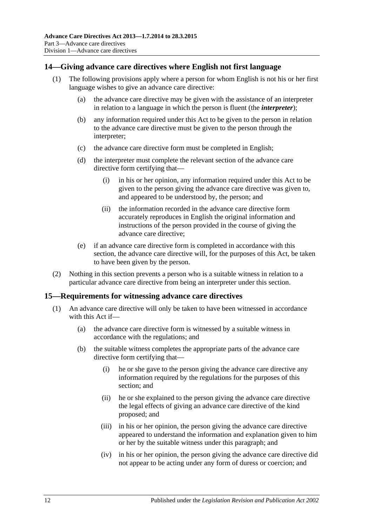# <span id="page-11-0"></span>**14—Giving advance care directives where English not first language**

- (1) The following provisions apply where a person for whom English is not his or her first language wishes to give an advance care directive:
	- (a) the advance care directive may be given with the assistance of an interpreter in relation to a language in which the person is fluent (the *interpreter*);
	- (b) any information required under this Act to be given to the person in relation to the advance care directive must be given to the person through the interpreter;
	- (c) the advance care directive form must be completed in English;
	- (d) the interpreter must complete the relevant section of the advance care directive form certifying that—
		- (i) in his or her opinion, any information required under this Act to be given to the person giving the advance care directive was given to, and appeared to be understood by, the person; and
		- (ii) the information recorded in the advance care directive form accurately reproduces in English the original information and instructions of the person provided in the course of giving the advance care directive;
	- (e) if an advance care directive form is completed in accordance with this section, the advance care directive will, for the purposes of this Act, be taken to have been given by the person.
- (2) Nothing in this section prevents a person who is a suitable witness in relation to a particular advance care directive from being an interpreter under this section.

### <span id="page-11-1"></span>**15—Requirements for witnessing advance care directives**

- (1) An advance care directive will only be taken to have been witnessed in accordance with this Act if—
	- (a) the advance care directive form is witnessed by a suitable witness in accordance with the regulations; and
	- (b) the suitable witness completes the appropriate parts of the advance care directive form certifying that—
		- (i) he or she gave to the person giving the advance care directive any information required by the regulations for the purposes of this section; and
		- (ii) he or she explained to the person giving the advance care directive the legal effects of giving an advance care directive of the kind proposed; and
		- (iii) in his or her opinion, the person giving the advance care directive appeared to understand the information and explanation given to him or her by the suitable witness under this paragraph; and
		- (iv) in his or her opinion, the person giving the advance care directive did not appear to be acting under any form of duress or coercion; and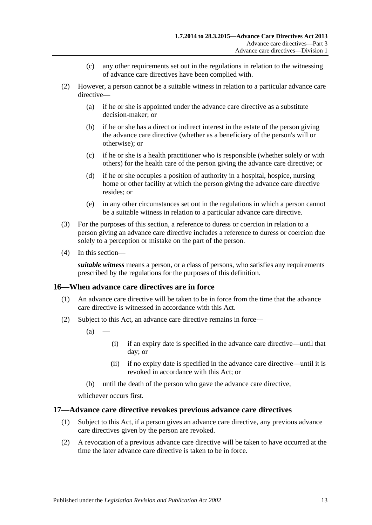- (c) any other requirements set out in the regulations in relation to the witnessing of advance care directives have been complied with.
- (2) However, a person cannot be a suitable witness in relation to a particular advance care directive—
	- (a) if he or she is appointed under the advance care directive as a substitute decision-maker; or
	- (b) if he or she has a direct or indirect interest in the estate of the person giving the advance care directive (whether as a beneficiary of the person's will or otherwise); or
	- (c) if he or she is a health practitioner who is responsible (whether solely or with others) for the health care of the person giving the advance care directive; or
	- (d) if he or she occupies a position of authority in a hospital, hospice, nursing home or other facility at which the person giving the advance care directive resides; or
	- (e) in any other circumstances set out in the regulations in which a person cannot be a suitable witness in relation to a particular advance care directive.
- (3) For the purposes of this section, a reference to duress or coercion in relation to a person giving an advance care directive includes a reference to duress or coercion due solely to a perception or mistake on the part of the person.
- (4) In this section—

*suitable witness* means a person, or a class of persons, who satisfies any requirements prescribed by the regulations for the purposes of this definition.

# <span id="page-12-0"></span>**16—When advance care directives are in force**

- (1) An advance care directive will be taken to be in force from the time that the advance care directive is witnessed in accordance with this Act.
- (2) Subject to this Act, an advance care directive remains in force—
	- $(a)$
- (i) if an expiry date is specified in the advance care directive—until that day; or
- (ii) if no expiry date is specified in the advance care directive—until it is revoked in accordance with this Act; or
- (b) until the death of the person who gave the advance care directive,

whichever occurs first.

### <span id="page-12-1"></span>**17—Advance care directive revokes previous advance care directives**

- (1) Subject to this Act, if a person gives an advance care directive, any previous advance care directives given by the person are revoked.
- (2) A revocation of a previous advance care directive will be taken to have occurred at the time the later advance care directive is taken to be in force.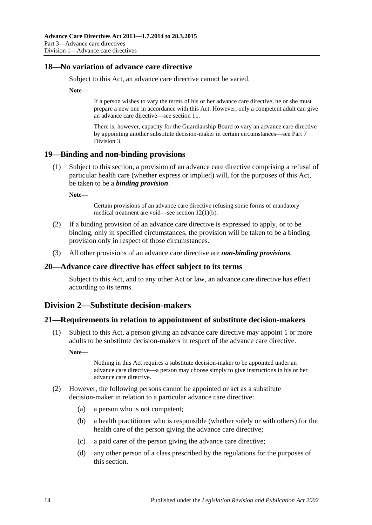### <span id="page-13-0"></span>**18—No variation of advance care directive**

Subject to this Act, an advance care directive cannot be varied.

**Note—**

If a person wishes to vary the terms of his or her advance care directive, he or she must prepare a new one in accordance with this Act. However, only a competent adult can give an advance care directive—see [section](#page-8-2) 11.

There is, however, capacity for the Guardianship Board to vary an advance care directive by appointing another substitute decision-maker in certain circumstances—se[e Part](#page-24-0) 7 [Division](#page-24-0) 3.

### <span id="page-13-1"></span>**19—Binding and non-binding provisions**

(1) Subject to this section, a provision of an advance care directive comprising a refusal of particular health care (whether express or implied) will, for the purposes of this Act, be taken to be a *binding provision*.

**Note—**

Certain provisions of an advance care directive refusing some forms of mandatory medical treatment are void—see section [12\(1\)\(b\).](#page-10-3)

- (2) If a binding provision of an advance care directive is expressed to apply, or to be binding, only in specified circumstances, the provision will be taken to be a binding provision only in respect of those circumstances.
- (3) All other provisions of an advance care directive are *non-binding provisions*.

### <span id="page-13-2"></span>**20—Advance care directive has effect subject to its terms**

Subject to this Act, and to any other Act or law, an advance care directive has effect according to its terms.

# <span id="page-13-3"></span>**Division 2—Substitute decision-makers**

### <span id="page-13-4"></span>**21—Requirements in relation to appointment of substitute decision-makers**

(1) Subject to this Act, a person giving an advance care directive may appoint 1 or more adults to be substitute decision-makers in respect of the advance care directive.

**Note—**

Nothing in this Act requires a substitute decision-maker to be appointed under an advance care directive—a person may choose simply to give instructions in his or her advance care directive.

- <span id="page-13-5"></span>(2) However, the following persons cannot be appointed or act as a substitute decision-maker in relation to a particular advance care directive:
	- (a) a person who is not competent;
	- (b) a health practitioner who is responsible (whether solely or with others) for the health care of the person giving the advance care directive;
	- (c) a paid carer of the person giving the advance care directive;
	- (d) any other person of a class prescribed by the regulations for the purposes of this section.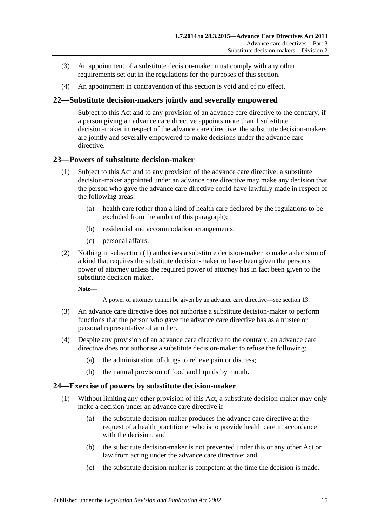- (3) An appointment of a substitute decision-maker must comply with any other requirements set out in the regulations for the purposes of this section.
- (4) An appointment in contravention of this section is void and of no effect.

### <span id="page-14-0"></span>**22—Substitute decision-makers jointly and severally empowered**

Subject to this Act and to any provision of an advance care directive to the contrary, if a person giving an advance care directive appoints more than 1 substitute decision-maker in respect of the advance care directive, the substitute decision-makers are jointly and severally empowered to make decisions under the advance care directive.

### <span id="page-14-3"></span><span id="page-14-1"></span>**23—Powers of substitute decision-maker**

- (1) Subject to this Act and to any provision of the advance care directive, a substitute decision-maker appointed under an advance care directive may make any decision that the person who gave the advance care directive could have lawfully made in respect of the following areas:
	- (a) health care (other than a kind of health care declared by the regulations to be excluded from the ambit of this paragraph);
	- (b) residential and accommodation arrangements;
	- (c) personal affairs.
- (2) Nothing in [subsection](#page-14-3) (1) authorises a substitute decision-maker to make a decision of a kind that requires the substitute decision-maker to have been given the person's power of attorney unless the required power of attorney has in fact been given to the substitute decision-maker.

**Note—**

A power of attorney cannot be given by an advance care directive—se[e section](#page-10-1) 13.

- (3) An advance care directive does not authorise a substitute decision-maker to perform functions that the person who gave the advance care directive has as a trustee or personal representative of another.
- (4) Despite any provision of an advance care directive to the contrary, an advance care directive does not authorise a substitute decision-maker to refuse the following:
	- (a) the administration of drugs to relieve pain or distress;
	- (b) the natural provision of food and liquids by mouth.

### <span id="page-14-2"></span>**24—Exercise of powers by substitute decision-maker**

- (1) Without limiting any other provision of this Act, a substitute decision-maker may only make a decision under an advance care directive if—
	- (a) the substitute decision-maker produces the advance care directive at the request of a health practitioner who is to provide health care in accordance with the decision; and
	- (b) the substitute decision-maker is not prevented under this or any other Act or law from acting under the advance care directive; and
	- (c) the substitute decision-maker is competent at the time the decision is made.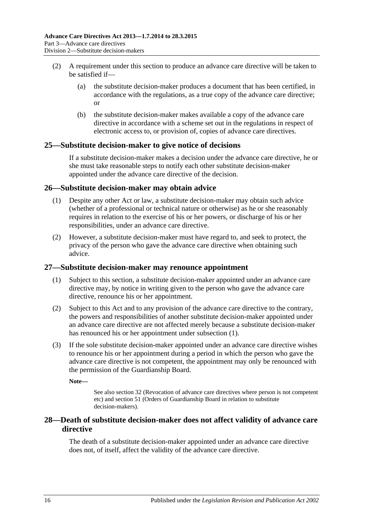- (2) A requirement under this section to produce an advance care directive will be taken to be satisfied if—
	- (a) the substitute decision-maker produces a document that has been certified, in accordance with the regulations, as a true copy of the advance care directive; or
	- (b) the substitute decision-maker makes available a copy of the advance care directive in accordance with a scheme set out in the regulations in respect of electronic access to, or provision of, copies of advance care directives.

# <span id="page-15-0"></span>**25—Substitute decision-maker to give notice of decisions**

If a substitute decision-maker makes a decision under the advance care directive, he or she must take reasonable steps to notify each other substitute decision-maker appointed under the advance care directive of the decision.

### <span id="page-15-1"></span>**26—Substitute decision-maker may obtain advice**

- (1) Despite any other Act or law, a substitute decision-maker may obtain such advice (whether of a professional or technical nature or otherwise) as he or she reasonably requires in relation to the exercise of his or her powers, or discharge of his or her responsibilities, under an advance care directive.
- (2) However, a substitute decision-maker must have regard to, and seek to protect, the privacy of the person who gave the advance care directive when obtaining such advice.

### <span id="page-15-4"></span><span id="page-15-2"></span>**27—Substitute decision-maker may renounce appointment**

- (1) Subject to this section, a substitute decision-maker appointed under an advance care directive may, by notice in writing given to the person who gave the advance care directive, renounce his or her appointment.
- (2) Subject to this Act and to any provision of the advance care directive to the contrary, the powers and responsibilities of another substitute decision-maker appointed under an advance care directive are not affected merely because a substitute decision-maker has renounced his or her appointment under [subsection](#page-15-4) (1).
- (3) If the sole substitute decision-maker appointed under an advance care directive wishes to renounce his or her appointment during a period in which the person who gave the advance care directive is not competent, the appointment may only be renounced with the permission of the Guardianship Board.

**Note—**

See also [section](#page-17-0) 32 (Revocation of advance care directives where person is not competent etc) an[d section](#page-26-0) 51 (Orders of Guardianship Board in relation to substitute decision-makers).

# <span id="page-15-3"></span>**28—Death of substitute decision-maker does not affect validity of advance care directive**

The death of a substitute decision-maker appointed under an advance care directive does not, of itself, affect the validity of the advance care directive.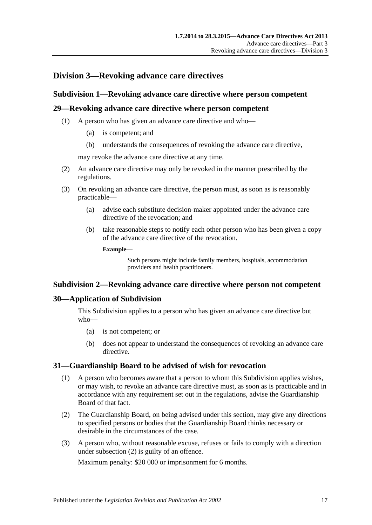# <span id="page-16-1"></span><span id="page-16-0"></span>**Division 3—Revoking advance care directives**

### **Subdivision 1—Revoking advance care directive where person competent**

### <span id="page-16-2"></span>**29—Revoking advance care directive where person competent**

- (1) A person who has given an advance care directive and who—
	- (a) is competent; and
	- (b) understands the consequences of revoking the advance care directive,

may revoke the advance care directive at any time.

- (2) An advance care directive may only be revoked in the manner prescribed by the regulations.
- (3) On revoking an advance care directive, the person must, as soon as is reasonably practicable—
	- (a) advise each substitute decision-maker appointed under the advance care directive of the revocation; and
	- (b) take reasonable steps to notify each other person who has been given a copy of the advance care directive of the revocation.

**Example—**

Such persons might include family members, hospitals, accommodation providers and health practitioners.

### <span id="page-16-3"></span>**Subdivision 2—Revoking advance care directive where person not competent**

### <span id="page-16-4"></span>**30—Application of Subdivision**

This Subdivision applies to a person who has given an advance care directive but who—

- (a) is not competent; or
- (b) does not appear to understand the consequences of revoking an advance care directive.

### <span id="page-16-5"></span>**31—Guardianship Board to be advised of wish for revocation**

- (1) A person who becomes aware that a person to whom this Subdivision applies wishes, or may wish, to revoke an advance care directive must, as soon as is practicable and in accordance with any requirement set out in the regulations, advise the Guardianship Board of that fact.
- <span id="page-16-6"></span>(2) The Guardianship Board, on being advised under this section, may give any directions to specified persons or bodies that the Guardianship Board thinks necessary or desirable in the circumstances of the case.
- <span id="page-16-7"></span>(3) A person who, without reasonable excuse, refuses or fails to comply with a direction under [subsection](#page-16-6) (2) is guilty of an offence.

Maximum penalty: \$20 000 or imprisonment for 6 months.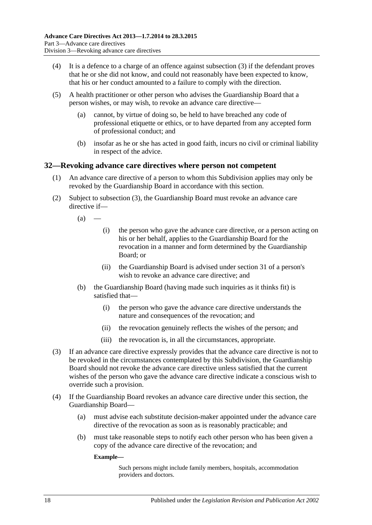- (4) It is a defence to a charge of an offence against [subsection](#page-16-7) (3) if the defendant proves that he or she did not know, and could not reasonably have been expected to know, that his or her conduct amounted to a failure to comply with the direction.
- (5) A health practitioner or other person who advises the Guardianship Board that a person wishes, or may wish, to revoke an advance care directive—
	- (a) cannot, by virtue of doing so, be held to have breached any code of professional etiquette or ethics, or to have departed from any accepted form of professional conduct; and
	- (b) insofar as he or she has acted in good faith, incurs no civil or criminal liability in respect of the advice.

### <span id="page-17-0"></span>**32—Revoking advance care directives where person not competent**

- (1) An advance care directive of a person to whom this Subdivision applies may only be revoked by the Guardianship Board in accordance with this section.
- (2) Subject to [subsection](#page-17-1) (3), the Guardianship Board must revoke an advance care directive if—

 $(a)$ 

- (i) the person who gave the advance care directive, or a person acting on his or her behalf, applies to the Guardianship Board for the revocation in a manner and form determined by the Guardianship Board; or
- (ii) the Guardianship Board is advised under [section](#page-16-5) 31 of a person's wish to revoke an advance care directive; and
- (b) the Guardianship Board (having made such inquiries as it thinks fit) is satisfied that—
	- (i) the person who gave the advance care directive understands the nature and consequences of the revocation; and
	- (ii) the revocation genuinely reflects the wishes of the person; and
	- (iii) the revocation is, in all the circumstances, appropriate.
- <span id="page-17-1"></span>(3) If an advance care directive expressly provides that the advance care directive is not to be revoked in the circumstances contemplated by this Subdivision, the Guardianship Board should not revoke the advance care directive unless satisfied that the current wishes of the person who gave the advance care directive indicate a conscious wish to override such a provision.
- (4) If the Guardianship Board revokes an advance care directive under this section, the Guardianship Board—
	- (a) must advise each substitute decision-maker appointed under the advance care directive of the revocation as soon as is reasonably practicable; and
	- (b) must take reasonable steps to notify each other person who has been given a copy of the advance care directive of the revocation; and

**Example—**

Such persons might include family members, hospitals, accommodation providers and doctors.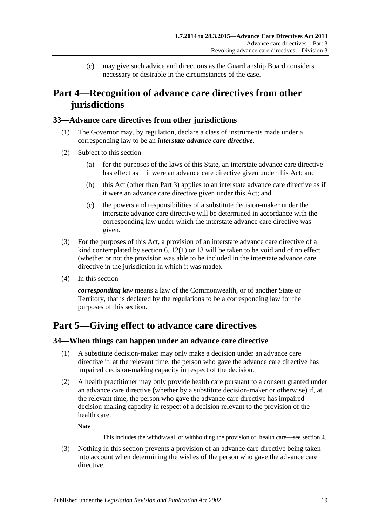(c) may give such advice and directions as the Guardianship Board considers necessary or desirable in the circumstances of the case.

# <span id="page-18-0"></span>**Part 4—Recognition of advance care directives from other jurisdictions**

### <span id="page-18-1"></span>**33—Advance care directives from other jurisdictions**

- (1) The Governor may, by regulation, declare a class of instruments made under a corresponding law to be an *interstate advance care directive*.
- (2) Subject to this section—
	- (a) for the purposes of the laws of this State, an interstate advance care directive has effect as if it were an advance care directive given under this Act; and
	- (b) this Act (other than [Part](#page-8-0) 3) applies to an interstate advance care directive as if it were an advance care directive given under this Act; and
	- (c) the powers and responsibilities of a substitute decision-maker under the interstate advance care directive will be determined in accordance with the corresponding law under which the interstate advance care directive was given.
- (3) For the purposes of this Act, a provision of an interstate advance care directive of a kind contemplated by [section](#page-5-2) 6, [12\(1\)](#page-10-2) or [13](#page-10-1) will be taken to be void and of no effect (whether or not the provision was able to be included in the interstate advance care directive in the jurisdiction in which it was made).
- (4) In this section—

*corresponding law* means a law of the Commonwealth, or of another State or Territory, that is declared by the regulations to be a corresponding law for the purposes of this section.

# <span id="page-18-2"></span>**Part 5—Giving effect to advance care directives**

# <span id="page-18-3"></span>**34—When things can happen under an advance care directive**

- (1) A substitute decision-maker may only make a decision under an advance care directive if, at the relevant time, the person who gave the advance care directive has impaired decision-making capacity in respect of the decision.
- (2) A health practitioner may only provide health care pursuant to a consent granted under an advance care directive (whether by a substitute decision-maker or otherwise) if, at the relevant time, the person who gave the advance care directive has impaired decision-making capacity in respect of a decision relevant to the provision of the health care.

**Note—**

This includes the withdrawal, or withholding the provision of, health care—see [section](#page-5-0) 4.

(3) Nothing in this section prevents a provision of an advance care directive being taken into account when determining the wishes of the person who gave the advance care directive.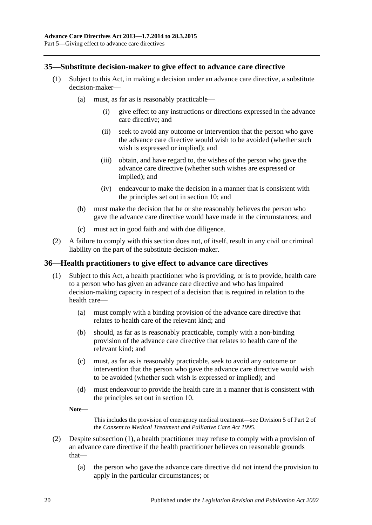# <span id="page-19-0"></span>**35—Substitute decision-maker to give effect to advance care directive**

- (1) Subject to this Act, in making a decision under an advance care directive, a substitute decision-maker—
	- (a) must, as far as is reasonably practicable—
		- (i) give effect to any instructions or directions expressed in the advance care directive; and
		- (ii) seek to avoid any outcome or intervention that the person who gave the advance care directive would wish to be avoided (whether such wish is expressed or implied); and
		- (iii) obtain, and have regard to, the wishes of the person who gave the advance care directive (whether such wishes are expressed or implied); and
		- (iv) endeavour to make the decision in a manner that is consistent with the principles set out in [section](#page-7-3) 10; and
	- (b) must make the decision that he or she reasonably believes the person who gave the advance care directive would have made in the circumstances; and
	- (c) must act in good faith and with due diligence.
- (2) A failure to comply with this section does not, of itself, result in any civil or criminal liability on the part of the substitute decision-maker.

#### <span id="page-19-2"></span><span id="page-19-1"></span>**36—Health practitioners to give effect to advance care directives**

- (1) Subject to this Act, a health practitioner who is providing, or is to provide, health care to a person who has given an advance care directive and who has impaired decision-making capacity in respect of a decision that is required in relation to the health care—
	- (a) must comply with a binding provision of the advance care directive that relates to health care of the relevant kind; and
	- (b) should, as far as is reasonably practicable, comply with a non-binding provision of the advance care directive that relates to health care of the relevant kind; and
	- (c) must, as far as is reasonably practicable, seek to avoid any outcome or intervention that the person who gave the advance care directive would wish to be avoided (whether such wish is expressed or implied); and
	- (d) must endeavour to provide the health care in a manner that is consistent with the principles set out in [section](#page-7-3) 10.
	- **Note—**

This includes the provision of emergency medical treatment—see Division 5 of Part 2 of the *[Consent to Medical Treatment and Palliative Care Act](http://www.legislation.sa.gov.au/index.aspx?action=legref&type=act&legtitle=Consent%20to%20Medical%20Treatment%20and%20Palliative%20Care%20Act%201995) 1995*.

- (2) Despite [subsection](#page-19-2) (1), a health practitioner may refuse to comply with a provision of an advance care directive if the health practitioner believes on reasonable grounds that—
	- (a) the person who gave the advance care directive did not intend the provision to apply in the particular circumstances; or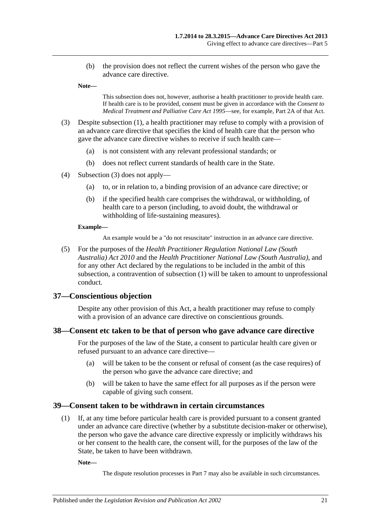(b) the provision does not reflect the current wishes of the person who gave the advance care directive.

**Note—**

This subsection does not, however, authorise a health practitioner to provide health care. If health care is to be provided, consent must be given in accordance with the *[Consent to](http://www.legislation.sa.gov.au/index.aspx?action=legref&type=act&legtitle=Consent%20to%20Medical%20Treatment%20and%20Palliative%20Care%20Act%201995)  [Medical Treatment and Palliative Care Act](http://www.legislation.sa.gov.au/index.aspx?action=legref&type=act&legtitle=Consent%20to%20Medical%20Treatment%20and%20Palliative%20Care%20Act%201995) 1995*—see, for example, Part 2A of that Act.

- <span id="page-20-3"></span>(3) Despite [subsection](#page-19-2) (1), a health practitioner may refuse to comply with a provision of an advance care directive that specifies the kind of health care that the person who gave the advance care directive wishes to receive if such health care—
	- (a) is not consistent with any relevant professional standards; or
	- (b) does not reflect current standards of health care in the State.
- (4) [Subsection](#page-20-3) (3) does not apply—
	- (a) to, or in relation to, a binding provision of an advance care directive; or
	- (b) if the specified health care comprises the withdrawal, or withholding, of health care to a person (including, to avoid doubt, the withdrawal or withholding of life-sustaining measures).

#### **Example—**

An example would be a "do not resuscitate" instruction in an advance care directive.

(5) For the purposes of the *[Health Practitioner Regulation National Law \(South](http://www.legislation.sa.gov.au/index.aspx?action=legref&type=act&legtitle=Health%20Practitioner%20Regulation%20National%20Law%20(South%20Australia)%20Act%202010)  [Australia\) Act](http://www.legislation.sa.gov.au/index.aspx?action=legref&type=act&legtitle=Health%20Practitioner%20Regulation%20National%20Law%20(South%20Australia)%20Act%202010) 2010* and the *[Health Practitioner National Law \(South Australia\)](http://www.legislation.sa.gov.au/index.aspx?action=legref&type=act&legtitle=Health%20Practitioner%20National%20Law%20(South%20Australia))*, and for any other Act declared by the regulations to be included in the ambit of this subsection, a contravention of [subsection](#page-19-2) (1) will be taken to amount to unprofessional conduct.

#### <span id="page-20-0"></span>**37—Conscientious objection**

Despite any other provision of this Act, a health practitioner may refuse to comply with a provision of an advance care directive on conscientious grounds.

#### <span id="page-20-1"></span>**38—Consent etc taken to be that of person who gave advance care directive**

For the purposes of the law of the State, a consent to particular health care given or refused pursuant to an advance care directive—

- (a) will be taken to be the consent or refusal of consent (as the case requires) of the person who gave the advance care directive; and
- (b) will be taken to have the same effect for all purposes as if the person were capable of giving such consent.

#### <span id="page-20-4"></span><span id="page-20-2"></span>**39—Consent taken to be withdrawn in certain circumstances**

(1) If, at any time before particular health care is provided pursuant to a consent granted under an advance care directive (whether by a substitute decision-maker or otherwise), the person who gave the advance care directive expressly or implicitly withdraws his or her consent to the health care, the consent will, for the purposes of the law of the State, be taken to have been withdrawn.

**Note—**

The dispute resolution processes in [Part](#page-21-4) 7 may also be available in such circumstances.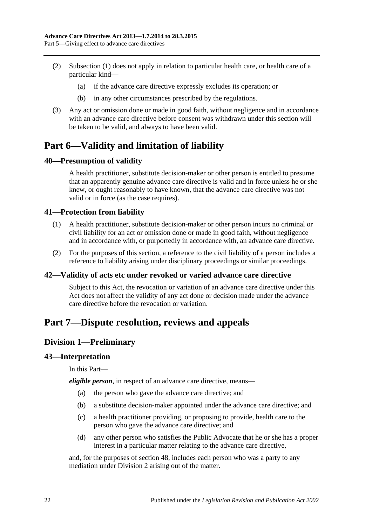- (2) [Subsection](#page-20-4) (1) does not apply in relation to particular health care, or health care of a particular kind—
	- (a) if the advance care directive expressly excludes its operation; or
	- (b) in any other circumstances prescribed by the regulations.
- (3) Any act or omission done or made in good faith, without negligence and in accordance with an advance care directive before consent was withdrawn under this section will be taken to be valid, and always to have been valid.

# <span id="page-21-0"></span>**Part 6—Validity and limitation of liability**

# <span id="page-21-1"></span>**40—Presumption of validity**

A health practitioner, substitute decision-maker or other person is entitled to presume that an apparently genuine advance care directive is valid and in force unless he or she knew, or ought reasonably to have known, that the advance care directive was not valid or in force (as the case requires).

# <span id="page-21-2"></span>**41—Protection from liability**

- (1) A health practitioner, substitute decision-maker or other person incurs no criminal or civil liability for an act or omission done or made in good faith, without negligence and in accordance with, or purportedly in accordance with, an advance care directive.
- (2) For the purposes of this section, a reference to the civil liability of a person includes a reference to liability arising under disciplinary proceedings or similar proceedings.

# <span id="page-21-3"></span>**42—Validity of acts etc under revoked or varied advance care directive**

Subject to this Act, the revocation or variation of an advance care directive under this Act does not affect the validity of any act done or decision made under the advance care directive before the revocation or variation.

# <span id="page-21-5"></span><span id="page-21-4"></span>**Part 7—Dispute resolution, reviews and appeals**

# **Division 1—Preliminary**

### <span id="page-21-6"></span>**43—Interpretation**

In this Part—

*eligible person*, in respect of an advance care directive, means—

- (a) the person who gave the advance care directive; and
- (b) a substitute decision-maker appointed under the advance care directive; and
- (c) a health practitioner providing, or proposing to provide, health care to the person who gave the advance care directive; and
- (d) any other person who satisfies the Public Advocate that he or she has a proper interest in a particular matter relating to the advance care directive,

and, for the purposes of [section](#page-24-2) 48, includes each person who was a party to any mediation under [Division](#page-22-1) 2 arising out of the matter.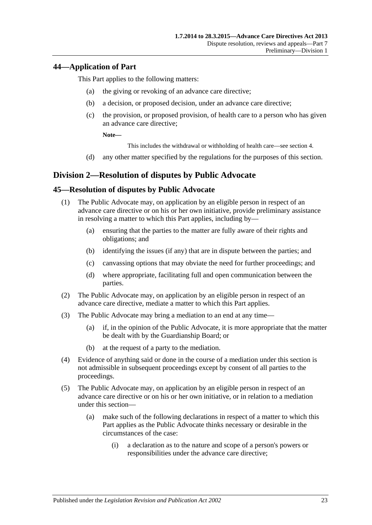# <span id="page-22-0"></span>**44—Application of Part**

This Part applies to the following matters:

- (a) the giving or revoking of an advance care directive;
- (b) a decision, or proposed decision, under an advance care directive;
- (c) the provision, or proposed provision, of health care to a person who has given an advance care directive;

**Note—**

This includes the withdrawal or withholding of health care—see [section](#page-5-0) 4.

(d) any other matter specified by the regulations for the purposes of this section.

# <span id="page-22-1"></span>**Division 2—Resolution of disputes by Public Advocate**

# <span id="page-22-2"></span>**45—Resolution of disputes by Public Advocate**

- (1) The Public Advocate may, on application by an eligible person in respect of an advance care directive or on his or her own initiative, provide preliminary assistance in resolving a matter to which this Part applies, including by—
	- (a) ensuring that the parties to the matter are fully aware of their rights and obligations; and
	- (b) identifying the issues (if any) that are in dispute between the parties; and
	- (c) canvassing options that may obviate the need for further proceedings; and
	- (d) where appropriate, facilitating full and open communication between the parties.
- (2) The Public Advocate may, on application by an eligible person in respect of an advance care directive, mediate a matter to which this Part applies.
- (3) The Public Advocate may bring a mediation to an end at any time—
	- (a) if, in the opinion of the Public Advocate, it is more appropriate that the matter be dealt with by the Guardianship Board; or
	- (b) at the request of a party to the mediation.
- (4) Evidence of anything said or done in the course of a mediation under this section is not admissible in subsequent proceedings except by consent of all parties to the proceedings.
- <span id="page-22-3"></span>(5) The Public Advocate may, on application by an eligible person in respect of an advance care directive or on his or her own initiative, or in relation to a mediation under this section—
	- (a) make such of the following declarations in respect of a matter to which this Part applies as the Public Advocate thinks necessary or desirable in the circumstances of the case:
		- (i) a declaration as to the nature and scope of a person's powers or responsibilities under the advance care directive;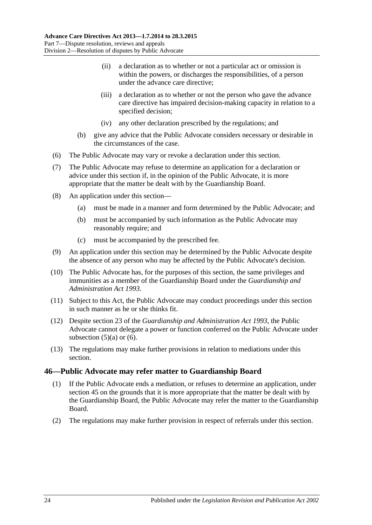- (ii) a declaration as to whether or not a particular act or omission is within the powers, or discharges the responsibilities, of a person under the advance care directive;
- (iii) a declaration as to whether or not the person who gave the advance care directive has impaired decision-making capacity in relation to a specified decision;
- (iv) any other declaration prescribed by the regulations; and
- (b) give any advice that the Public Advocate considers necessary or desirable in the circumstances of the case.
- <span id="page-23-1"></span>(6) The Public Advocate may vary or revoke a declaration under this section.
- (7) The Public Advocate may refuse to determine an application for a declaration or advice under this section if, in the opinion of the Public Advocate, it is more appropriate that the matter be dealt with by the Guardianship Board.
- (8) An application under this section—
	- (a) must be made in a manner and form determined by the Public Advocate; and
	- (b) must be accompanied by such information as the Public Advocate may reasonably require; and
	- (c) must be accompanied by the prescribed fee.
- (9) An application under this section may be determined by the Public Advocate despite the absence of any person who may be affected by the Public Advocate's decision.
- (10) The Public Advocate has, for the purposes of this section, the same privileges and immunities as a member of the Guardianship Board under the *[Guardianship and](http://www.legislation.sa.gov.au/index.aspx?action=legref&type=act&legtitle=Guardianship%20and%20Administration%20Act%201993)  [Administration Act](http://www.legislation.sa.gov.au/index.aspx?action=legref&type=act&legtitle=Guardianship%20and%20Administration%20Act%201993) 1993*.
- (11) Subject to this Act, the Public Advocate may conduct proceedings under this section in such manner as he or she thinks fit.
- (12) Despite section 23 of the *[Guardianship and Administration Act](http://www.legislation.sa.gov.au/index.aspx?action=legref&type=act&legtitle=Guardianship%20and%20Administration%20Act%201993) 1993*, the Public Advocate cannot delegate a power or function conferred on the Public Advocate under [subsection](#page-22-3)  $(5)(a)$  or  $(6)$ .
- (13) The regulations may make further provisions in relation to mediations under this section.

# <span id="page-23-0"></span>**46—Public Advocate may refer matter to Guardianship Board**

- (1) If the Public Advocate ends a mediation, or refuses to determine an application, under [section](#page-22-2) 45 on the grounds that it is more appropriate that the matter be dealt with by the Guardianship Board, the Public Advocate may refer the matter to the Guardianship Board.
- (2) The regulations may make further provision in respect of referrals under this section.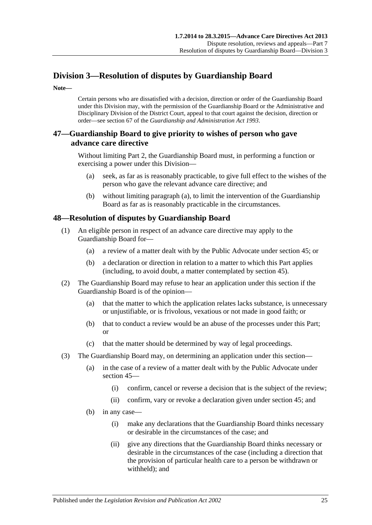# <span id="page-24-0"></span>**Division 3—Resolution of disputes by Guardianship Board**

**Note—**

Certain persons who are dissatisfied with a decision, direction or order of the Guardianship Board under this Division may, with the permission of the Guardianship Board or the Administrative and Disciplinary Division of the District Court, appeal to that court against the decision, direction or order—see section 67 of the *[Guardianship and Administration Act](http://www.legislation.sa.gov.au/index.aspx?action=legref&type=act&legtitle=Guardianship%20and%20Administration%20Act%201993) 1993*.

# <span id="page-24-1"></span>**47—Guardianship Board to give priority to wishes of person who gave advance care directive**

<span id="page-24-3"></span>Without limiting [Part](#page-7-1) 2, the Guardianship Board must, in performing a function or exercising a power under this Division—

- (a) seek, as far as is reasonably practicable, to give full effect to the wishes of the person who gave the relevant advance care directive; and
- (b) without limiting [paragraph](#page-24-3) (a), to limit the intervention of the Guardianship Board as far as is reasonably practicable in the circumstances.

# <span id="page-24-2"></span>**48—Resolution of disputes by Guardianship Board**

- (1) An eligible person in respect of an advance care directive may apply to the Guardianship Board for—
	- (a) a review of a matter dealt with by the Public Advocate under [section](#page-22-2) 45; or
	- (b) a declaration or direction in relation to a matter to which this Part applies (including, to avoid doubt, a matter contemplated by [section](#page-22-2) 45).
- <span id="page-24-4"></span>(2) The Guardianship Board may refuse to hear an application under this section if the Guardianship Board is of the opinion—
	- (a) that the matter to which the application relates lacks substance, is unnecessary or unjustifiable, or is frivolous, vexatious or not made in good faith; or
	- (b) that to conduct a review would be an abuse of the processes under this Part; or
	- (c) that the matter should be determined by way of legal proceedings.
- (3) The Guardianship Board may, on determining an application under this section—
	- (a) in the case of a review of a matter dealt with by the Public Advocate under [section](#page-22-2) 45—
		- (i) confirm, cancel or reverse a decision that is the subject of the review;
		- (ii) confirm, vary or revoke a declaration given under [section](#page-22-2) 45; and
	- (b) in any case—
		- (i) make any declarations that the Guardianship Board thinks necessary or desirable in the circumstances of the case; and
		- (ii) give any directions that the Guardianship Board thinks necessary or desirable in the circumstances of the case (including a direction that the provision of particular health care to a person be withdrawn or withheld); and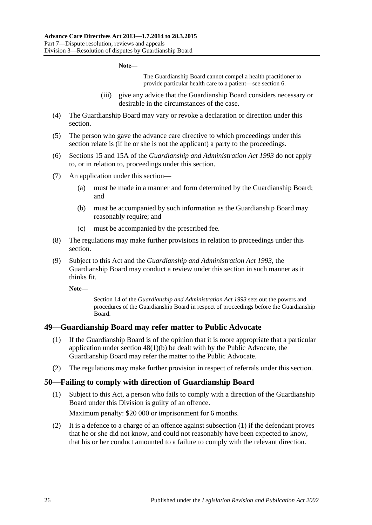#### **Note—**

The Guardianship Board cannot compel a health practitioner to provide particular health care to a patient—see [section](#page-5-2) 6.

- (iii) give any advice that the Guardianship Board considers necessary or desirable in the circumstances of the case.
- (4) The Guardianship Board may vary or revoke a declaration or direction under this section.
- (5) The person who gave the advance care directive to which proceedings under this section relate is (if he or she is not the applicant) a party to the proceedings.
- (6) Sections 15 and 15A of the *Guardianship and [Administration Act](http://www.legislation.sa.gov.au/index.aspx?action=legref&type=act&legtitle=Guardianship%20and%20Administration%20Act%201993) 1993* do not apply to, or in relation to, proceedings under this section.
- (7) An application under this section—
	- (a) must be made in a manner and form determined by the Guardianship Board; and
	- (b) must be accompanied by such information as the Guardianship Board may reasonably require; and
	- (c) must be accompanied by the prescribed fee.
- (8) The regulations may make further provisions in relation to proceedings under this section.
- (9) Subject to this Act and the *[Guardianship and Administration Act](http://www.legislation.sa.gov.au/index.aspx?action=legref&type=act&legtitle=Guardianship%20and%20Administration%20Act%201993) 1993*, the Guardianship Board may conduct a review under this section in such manner as it thinks fit.

**Note—**

Section 14 of the *[Guardianship and Administration Act](http://www.legislation.sa.gov.au/index.aspx?action=legref&type=act&legtitle=Guardianship%20and%20Administration%20Act%201993) 1993* sets out the powers and procedures of the Guardianship Board in respect of proceedings before the Guardianship Board.

### <span id="page-25-0"></span>**49—Guardianship Board may refer matter to Public Advocate**

- (1) If the Guardianship Board is of the opinion that it is more appropriate that a particular application under section [48\(1\)\(b\)](#page-24-4) be dealt with by the Public Advocate, the Guardianship Board may refer the matter to the Public Advocate.
- (2) The regulations may make further provision in respect of referrals under this section.

#### <span id="page-25-2"></span><span id="page-25-1"></span>**50—Failing to comply with direction of Guardianship Board**

(1) Subject to this Act, a person who fails to comply with a direction of the Guardianship Board under this Division is guilty of an offence.

Maximum penalty: \$20 000 or imprisonment for 6 months.

(2) It is a defence to a charge of an offence against [subsection](#page-25-2) (1) if the defendant proves that he or she did not know, and could not reasonably have been expected to know, that his or her conduct amounted to a failure to comply with the relevant direction.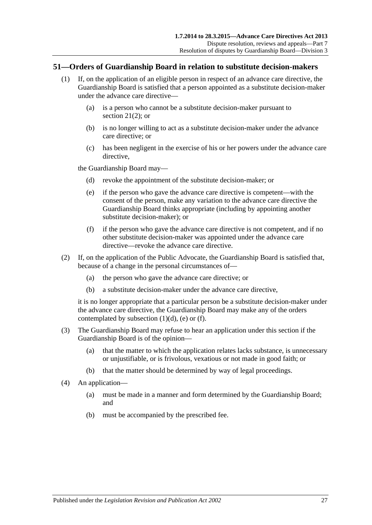### <span id="page-26-0"></span>**51—Orders of Guardianship Board in relation to substitute decision-makers**

- (1) If, on the application of an eligible person in respect of an advance care directive, the Guardianship Board is satisfied that a person appointed as a substitute decision-maker under the advance care directive—
	- (a) is a person who cannot be a substitute decision-maker pursuant to [section](#page-13-5) 21(2); or
	- (b) is no longer willing to act as a substitute decision-maker under the advance care directive; or
	- (c) has been negligent in the exercise of his or her powers under the advance care directive.

<span id="page-26-2"></span><span id="page-26-1"></span>the Guardianship Board may—

- (d) revoke the appointment of the substitute decision-maker; or
- (e) if the person who gave the advance care directive is competent—with the consent of the person, make any variation to the advance care directive the Guardianship Board thinks appropriate (including by appointing another substitute decision-maker); or
- (f) if the person who gave the advance care directive is not competent, and if no other substitute decision-maker was appointed under the advance care directive—revoke the advance care directive.
- <span id="page-26-3"></span>(2) If, on the application of the Public Advocate, the Guardianship Board is satisfied that, because of a change in the personal circumstances of—
	- (a) the person who gave the advance care directive; or
	- (b) a substitute decision-maker under the advance care directive,

it is no longer appropriate that a particular person be a substitute decision-maker under the advance care directive, the Guardianship Board may make any of the orders contemplated by [subsection](#page-26-1)  $(1)(d)$ ,  $(e)$  or  $(f)$ .

- (3) The Guardianship Board may refuse to hear an application under this section if the Guardianship Board is of the opinion—
	- (a) that the matter to which the application relates lacks substance, is unnecessary or unjustifiable, or is frivolous, vexatious or not made in good faith; or
	- (b) that the matter should be determined by way of legal proceedings.
- (4) An application—
	- (a) must be made in a manner and form determined by the Guardianship Board; and
	- (b) must be accompanied by the prescribed fee.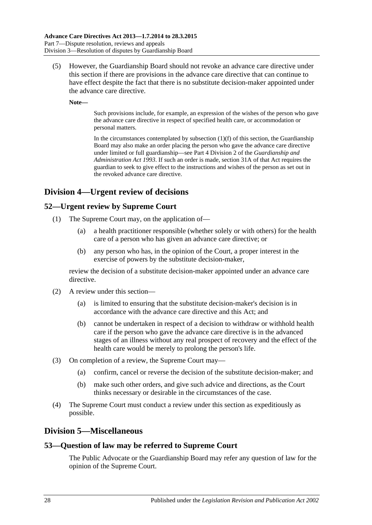(5) However, the Guardianship Board should not revoke an advance care directive under this section if there are provisions in the advance care directive that can continue to have effect despite the fact that there is no substitute decision-maker appointed under the advance care directive.

**Note—**

Such provisions include, for example, an expression of the wishes of the person who gave the advance care directive in respect of specified health care, or accommodation or personal matters.

In the circumstances contemplated by [subsection](#page-26-3)  $(1)(f)$  of this section, the Guardianship Board may also make an order placing the person who gave the advance care directive under limited or full guardianship—see Part 4 Division 2 of the *[Guardianship and](http://www.legislation.sa.gov.au/index.aspx?action=legref&type=act&legtitle=Guardianship%20and%20Administration%20Act%201993)  [Administration Act](http://www.legislation.sa.gov.au/index.aspx?action=legref&type=act&legtitle=Guardianship%20and%20Administration%20Act%201993) 1993*. If such an order is made, section 31A of that Act requires the guardian to seek to give effect to the instructions and wishes of the person as set out in the revoked advance care directive.

# <span id="page-27-0"></span>**Division 4—Urgent review of decisions**

# <span id="page-27-1"></span>**52—Urgent review by Supreme Court**

- (1) The Supreme Court may, on the application of—
	- (a) a health practitioner responsible (whether solely or with others) for the health care of a person who has given an advance care directive; or
	- (b) any person who has, in the opinion of the Court, a proper interest in the exercise of powers by the substitute decision-maker,

review the decision of a substitute decision-maker appointed under an advance care directive.

- (2) A review under this section—
	- (a) is limited to ensuring that the substitute decision-maker's decision is in accordance with the advance care directive and this Act; and
	- (b) cannot be undertaken in respect of a decision to withdraw or withhold health care if the person who gave the advance care directive is in the advanced stages of an illness without any real prospect of recovery and the effect of the health care would be merely to prolong the person's life.
- (3) On completion of a review, the Supreme Court may—
	- (a) confirm, cancel or reverse the decision of the substitute decision-maker; and
	- (b) make such other orders, and give such advice and directions, as the Court thinks necessary or desirable in the circumstances of the case.
- (4) The Supreme Court must conduct a review under this section as expeditiously as possible.

# <span id="page-27-2"></span>**Division 5—Miscellaneous**

# <span id="page-27-3"></span>**53—Question of law may be referred to Supreme Court**

The Public Advocate or the Guardianship Board may refer any question of law for the opinion of the Supreme Court.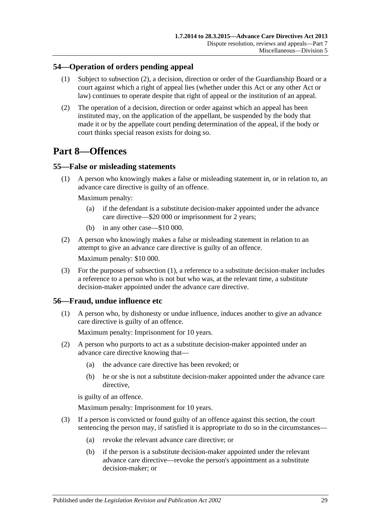# <span id="page-28-0"></span>**54—Operation of orders pending appeal**

- (1) Subject to [subsection](#page-28-4) (2), a decision, direction or order of the Guardianship Board or a court against which a right of appeal lies (whether under this Act or any other Act or law) continues to operate despite that right of appeal or the institution of an appeal.
- <span id="page-28-4"></span>(2) The operation of a decision, direction or order against which an appeal has been instituted may, on the application of the appellant, be suspended by the body that made it or by the appellate court pending determination of the appeal, if the body or court thinks special reason exists for doing so.

# <span id="page-28-1"></span>**Part 8—Offences**

# <span id="page-28-5"></span><span id="page-28-2"></span>**55—False or misleading statements**

(1) A person who knowingly makes a false or misleading statement in, or in relation to, an advance care directive is guilty of an offence.

Maximum penalty:

- (a) if the defendant is a substitute decision-maker appointed under the advance care directive—\$20 000 or imprisonment for 2 years;
- (b) in any other case—\$10 000.
- (2) A person who knowingly makes a false or misleading statement in relation to an attempt to give an advance care directive is guilty of an offence.

Maximum penalty: \$10 000.

(3) For the purposes of [subsection](#page-28-5) (1), a reference to a substitute decision-maker includes a reference to a person who is not but who was, at the relevant time, a substitute decision-maker appointed under the advance care directive.

# <span id="page-28-3"></span>**56—Fraud, undue influence etc**

(1) A person who, by dishonesty or undue influence, induces another to give an advance care directive is guilty of an offence.

Maximum penalty: Imprisonment for 10 years.

- (2) A person who purports to act as a substitute decision-maker appointed under an advance care directive knowing that—
	- (a) the advance care directive has been revoked; or
	- (b) he or she is not a substitute decision-maker appointed under the advance care directive.

is guilty of an offence.

Maximum penalty: Imprisonment for 10 years.

- (3) If a person is convicted or found guilty of an offence against this section, the court sentencing the person may, if satisfied it is appropriate to do so in the circumstances—
	- (a) revoke the relevant advance care directive; or
	- (b) if the person is a substitute decision-maker appointed under the relevant advance care directive—revoke the person's appointment as a substitute decision-maker; or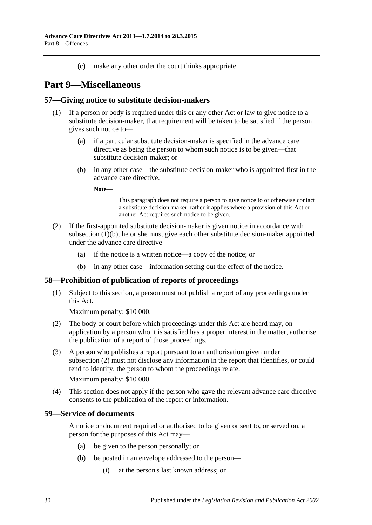(c) make any other order the court thinks appropriate.

# <span id="page-29-0"></span>**Part 9—Miscellaneous**

### <span id="page-29-1"></span>**57—Giving notice to substitute decision-makers**

- <span id="page-29-4"></span>(1) If a person or body is required under this or any other Act or law to give notice to a substitute decision-maker, that requirement will be taken to be satisfied if the person gives such notice to—
	- (a) if a particular substitute decision-maker is specified in the advance care directive as being the person to whom such notice is to be given—that substitute decision-maker; or
	- (b) in any other case—the substitute decision-maker who is appointed first in the advance care directive.

**Note—**

This paragraph does not require a person to give notice to or otherwise contact a substitute decision-maker, rather it applies where a provision of this Act or another Act requires such notice to be given.

- (2) If the first-appointed substitute decision-maker is given notice in accordance with [subsection](#page-29-4) (1)(b), he or she must give each other substitute decision-maker appointed under the advance care directive—
	- (a) if the notice is a written notice—a copy of the notice; or
	- (b) in any other case—information setting out the effect of the notice.

# <span id="page-29-2"></span>**58—Prohibition of publication of reports of proceedings**

(1) Subject to this section, a person must not publish a report of any proceedings under this Act.

Maximum penalty: \$10 000.

- <span id="page-29-5"></span>(2) The body or court before which proceedings under this Act are heard may, on application by a person who it is satisfied has a proper interest in the matter, authorise the publication of a report of those proceedings.
- (3) A person who publishes a report pursuant to an authorisation given under [subsection](#page-29-5) (2) must not disclose any information in the report that identifies, or could tend to identify, the person to whom the proceedings relate. Maximum penalty: \$10 000.
- (4) This section does not apply if the person who gave the relevant advance care directive consents to the publication of the report or information.

### <span id="page-29-3"></span>**59—Service of documents**

A notice or document required or authorised to be given or sent to, or served on, a person for the purposes of this Act may—

- (a) be given to the person personally; or
- (b) be posted in an envelope addressed to the person—
	- (i) at the person's last known address; or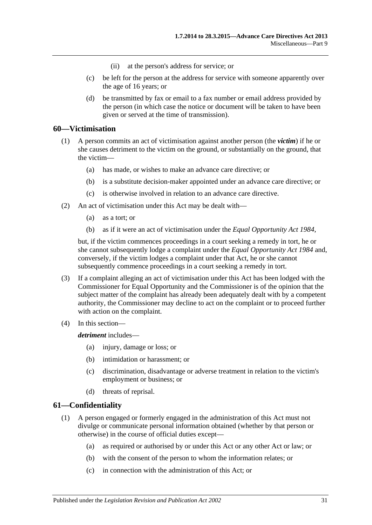- (ii) at the person's address for service; or
- (c) be left for the person at the address for service with someone apparently over the age of 16 years; or
- (d) be transmitted by fax or email to a fax number or email address provided by the person (in which case the notice or document will be taken to have been given or served at the time of transmission).

### <span id="page-30-0"></span>**60—Victimisation**

- (1) A person commits an act of victimisation against another person (the *victim*) if he or she causes detriment to the victim on the ground, or substantially on the ground, that the victim—
	- (a) has made, or wishes to make an advance care directive; or
	- (b) is a substitute decision-maker appointed under an advance care directive; or
	- (c) is otherwise involved in relation to an advance care directive.
- (2) An act of victimisation under this Act may be dealt with—
	- (a) as a tort; or
	- (b) as if it were an act of victimisation under the *[Equal Opportunity Act](http://www.legislation.sa.gov.au/index.aspx?action=legref&type=act&legtitle=Equal%20Opportunity%20Act%201984) 1984*,

but, if the victim commences proceedings in a court seeking a remedy in tort, he or she cannot subsequently lodge a complaint under the *[Equal Opportunity Act](http://www.legislation.sa.gov.au/index.aspx?action=legref&type=act&legtitle=Equal%20Opportunity%20Act%201984) 1984* and, conversely, if the victim lodges a complaint under that Act, he or she cannot subsequently commence proceedings in a court seeking a remedy in tort.

- (3) If a complaint alleging an act of victimisation under this Act has been lodged with the Commissioner for Equal Opportunity and the Commissioner is of the opinion that the subject matter of the complaint has already been adequately dealt with by a competent authority, the Commissioner may decline to act on the complaint or to proceed further with action on the complaint.
- (4) In this section—

*detriment* includes—

- (a) injury, damage or loss; or
- (b) intimidation or harassment; or
- (c) discrimination, disadvantage or adverse treatment in relation to the victim's employment or business; or
- (d) threats of reprisal.

#### <span id="page-30-2"></span><span id="page-30-1"></span>**61—Confidentiality**

- (1) A person engaged or formerly engaged in the administration of this Act must not divulge or communicate personal information obtained (whether by that person or otherwise) in the course of official duties except—
	- (a) as required or authorised by or under this Act or any other Act or law; or
	- (b) with the consent of the person to whom the information relates; or
	- (c) in connection with the administration of this Act; or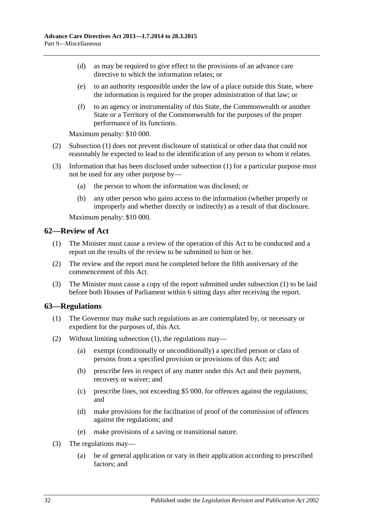- (d) as may be required to give effect to the provisions of an advance care directive to which the information relates; or
- (e) to an authority responsible under the law of a place outside this State, where the information is required for the proper administration of that law; or
- (f) to an agency or instrumentality of this State, the Commonwealth or another State or a Territory of the Commonwealth for the purposes of the proper performance of its functions.

Maximum penalty: \$10 000.

- (2) [Subsection](#page-30-2) (1) does not prevent disclosure of statistical or other data that could not reasonably be expected to lead to the identification of any person to whom it relates.
- (3) Information that has been disclosed under [subsection](#page-30-2) (1) for a particular purpose must not be used for any other purpose by—
	- (a) the person to whom the information was disclosed; or
	- (b) any other person who gains access to the information (whether properly or improperly and whether directly or indirectly) as a result of that disclosure.

Maximum penalty: \$10 000.

### <span id="page-31-2"></span><span id="page-31-0"></span>**62—Review of Act**

- (1) The Minister must cause a review of the operation of this Act to be conducted and a report on the results of the review to be submitted to him or her.
- (2) The review and the report must be completed before the fifth anniversary of the commencement of this Act.
- (3) The Minister must cause a copy of the report submitted under [subsection](#page-31-2) (1) to be laid before both Houses of Parliament within 6 sitting days after receiving the report.

### <span id="page-31-3"></span><span id="page-31-1"></span>**63—Regulations**

- (1) The Governor may make such regulations as are contemplated by, or necessary or expedient for the purposes of, this Act.
- (2) Without limiting [subsection](#page-31-3) (1), the regulations may—
	- (a) exempt (conditionally or unconditionally) a specified person or class of persons from a specified provision or provisions of this Act; and
	- (b) prescribe fees in respect of any matter under this Act and their payment, recovery or waiver; and
	- (c) prescribe fines, not exceeding \$5 000, for offences against the regulations; and
	- (d) make provisions for the facilitation of proof of the commission of offences against the regulations; and
	- (e) make provisions of a saving or transitional nature.
- (3) The regulations may—
	- (a) be of general application or vary in their application according to prescribed factors; and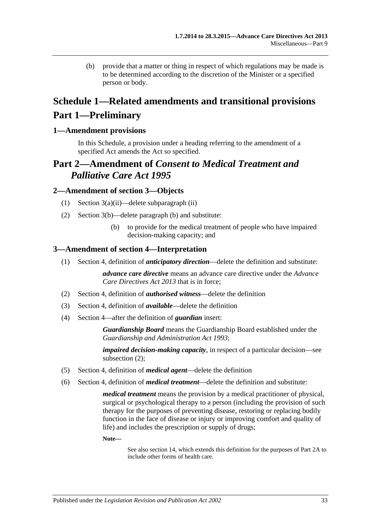(b) provide that a matter or thing in respect of which regulations may be made is to be determined according to the discretion of the Minister or a specified person or body.

# <span id="page-32-0"></span>**Schedule 1—Related amendments and transitional provisions Part 1—Preliminary**

# <span id="page-32-1"></span>**1—Amendment provisions**

In this Schedule, a provision under a heading referring to the amendment of a specified Act amends the Act so specified.

# **Part 2—Amendment of** *Consent to Medical Treatment and Palliative Care Act 1995*

### <span id="page-32-2"></span>**2—Amendment of section 3—Objects**

- (1) Section 3(a)(ii)—delete subparagraph (ii)
- (2) Section 3(b)—delete paragraph (b) and substitute:
	- (b) to provide for the medical treatment of people who have impaired decision-making capacity; and

### <span id="page-32-3"></span>**3—Amendment of section 4—Interpretation**

(1) Section 4, definition of *anticipatory direction*—delete the definition and substitute:

*advance care directive* means an advance care directive under the *[Advance](http://www.legislation.sa.gov.au/index.aspx?action=legref&type=act&legtitle=Advance%20Care%20Directives%20Act%202013)  [Care Directives Act](http://www.legislation.sa.gov.au/index.aspx?action=legref&type=act&legtitle=Advance%20Care%20Directives%20Act%202013) 2013* that is in force;

- (2) Section 4, definition of *authorised witness*—delete the definition
- (3) Section 4, definition of *available*—delete the definition
- (4) Section 4—after the definition of *guardian* insert:

*Guardianship Board* means the Guardianship Board established under the *[Guardianship and Administration Act](http://www.legislation.sa.gov.au/index.aspx?action=legref&type=act&legtitle=Guardianship%20and%20Administration%20Act%201993) 1993*;

*impaired decision-making capacity*, in respect of a particular decision—see subsection (2);

- (5) Section 4, definition of *medical agent*—delete the definition
- (6) Section 4, definition of *medical treatment*—delete the definition and substitute:

*medical treatment* means the provision by a medical practitioner of physical, surgical or psychological therapy to a person (including the provision of such therapy for the purposes of preventing disease, restoring or replacing bodily function in the face of disease or injury or improving comfort and quality of life) and includes the prescription or supply of drugs;

#### **Note—**

See also section 14, which extends this definition for the purposes of Part 2A to include other forms of health care.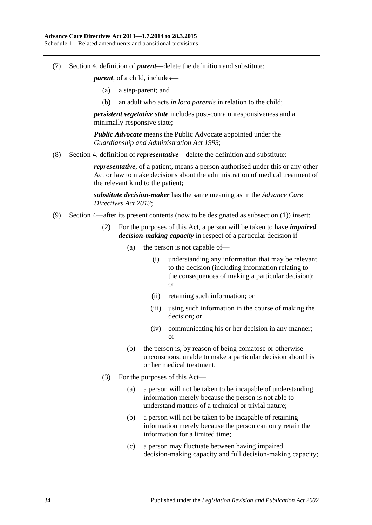(7) Section 4, definition of *parent*—delete the definition and substitute:

*parent*, of a child, includes—

- (a) a step-parent; and
- (b) an adult who acts *in loco parentis* in relation to the child;

*persistent vegetative state* includes post-coma unresponsiveness and a minimally responsive state;

*Public Advocate* means the Public Advocate appointed under the *[Guardianship and Administration Act](http://www.legislation.sa.gov.au/index.aspx?action=legref&type=act&legtitle=Guardianship%20and%20Administration%20Act%201993) 1993*;

(8) Section 4, definition of *representative*—delete the definition and substitute:

*representative*, of a patient, means a person authorised under this or any other Act or law to make decisions about the administration of medical treatment of the relevant kind to the patient;

*substitute decision-maker* has the same meaning as in the *[Advance Care](http://www.legislation.sa.gov.au/index.aspx?action=legref&type=act&legtitle=Advance%20Care%20Directives%20Act%202013)  [Directives Act](http://www.legislation.sa.gov.au/index.aspx?action=legref&type=act&legtitle=Advance%20Care%20Directives%20Act%202013) 2013*;

- (9) Section 4—after its present contents (now to be designated as subsection (1)) insert:
	- (2) For the purposes of this Act, a person will be taken to have *impaired decision-making capacity* in respect of a particular decision if—
		- (a) the person is not capable of—
			- (i) understanding any information that may be relevant to the decision (including information relating to the consequences of making a particular decision); or
			- (ii) retaining such information; or
			- (iii) using such information in the course of making the decision; or
			- (iv) communicating his or her decision in any manner; or
		- (b) the person is, by reason of being comatose or otherwise unconscious, unable to make a particular decision about his or her medical treatment.
	- (3) For the purposes of this Act—
		- (a) a person will not be taken to be incapable of understanding information merely because the person is not able to understand matters of a technical or trivial nature;
		- (b) a person will not be taken to be incapable of retaining information merely because the person can only retain the information for a limited time;
		- (c) a person may fluctuate between having impaired decision-making capacity and full decision-making capacity;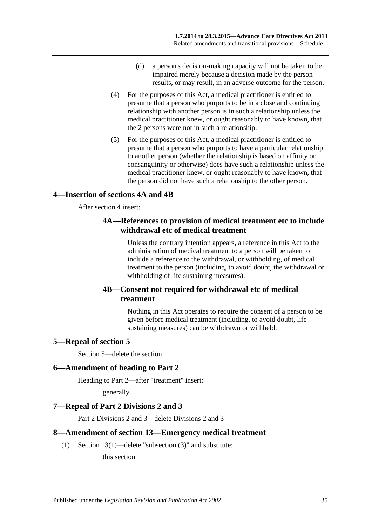- (d) a person's decision-making capacity will not be taken to be impaired merely because a decision made by the person results, or may result, in an adverse outcome for the person.
- (4) For the purposes of this Act, a medical practitioner is entitled to presume that a person who purports to be in a close and continuing relationship with another person is in such a relationship unless the medical practitioner knew, or ought reasonably to have known, that the 2 persons were not in such a relationship.
- (5) For the purposes of this Act, a medical practitioner is entitled to presume that a person who purports to have a particular relationship to another person (whether the relationship is based on affinity or consanguinity or otherwise) does have such a relationship unless the medical practitioner knew, or ought reasonably to have known, that the person did not have such a relationship to the other person.

# <span id="page-34-0"></span>**4—Insertion of sections 4A and 4B**

After section 4 insert:

# **4A—References to provision of medical treatment etc to include withdrawal etc of medical treatment**

Unless the contrary intention appears, a reference in this Act to the administration of medical treatment to a person will be taken to include a reference to the withdrawal, or withholding, of medical treatment to the person (including, to avoid doubt, the withdrawal or withholding of life sustaining measures).

# **4B—Consent not required for withdrawal etc of medical treatment**

Nothing in this Act operates to require the consent of a person to be given before medical treatment (including, to avoid doubt, life sustaining measures) can be withdrawn or withheld.

# <span id="page-34-1"></span>**5—Repeal of section 5**

Section 5—delete the section

# <span id="page-34-2"></span>**6—Amendment of heading to Part 2**

Heading to Part 2—after "treatment" insert:

generally

# <span id="page-34-3"></span>**7—Repeal of Part 2 Divisions 2 and 3**

Part 2 Divisions 2 and 3—delete Divisions 2 and 3

# <span id="page-34-4"></span>**8—Amendment of section 13—Emergency medical treatment**

(1) Section 13(1)—delete "subsection (3)" and substitute:

this section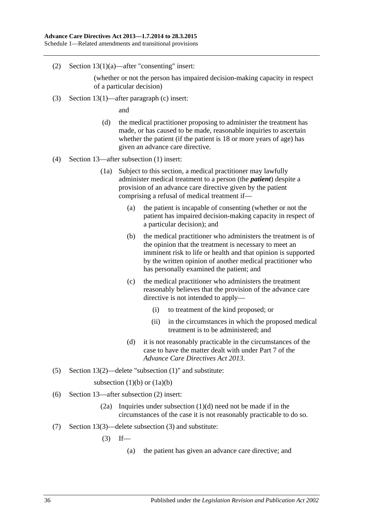(2) Section 13(1)(a)—after "consenting" insert:

(whether or not the person has impaired decision-making capacity in respect of a particular decision)

(3) Section 13(1)—after paragraph (c) insert:

and

- (d) the medical practitioner proposing to administer the treatment has made, or has caused to be made, reasonable inquiries to ascertain whether the patient (if the patient is 18 or more years of age) has given an advance care directive.
- (4) Section 13—after subsection (1) insert:
	- (1a) Subject to this section, a medical practitioner may lawfully administer medical treatment to a person (the *patient*) despite a provision of an advance care directive given by the patient comprising a refusal of medical treatment if—
		- (a) the patient is incapable of consenting (whether or not the patient has impaired decision-making capacity in respect of a particular decision); and
		- (b) the medical practitioner who administers the treatment is of the opinion that the treatment is necessary to meet an imminent risk to life or health and that opinion is supported by the written opinion of another medical practitioner who has personally examined the patient; and
		- (c) the medical practitioner who administers the treatment reasonably believes that the provision of the advance care directive is not intended to apply—
			- (i) to treatment of the kind proposed; or
			- (ii) in the circumstances in which the proposed medical treatment is to be administered; and
		- (d) it is not reasonably practicable in the circumstances of the case to have the matter dealt with under Part 7 of the *[Advance Care Directives Act](http://www.legislation.sa.gov.au/index.aspx?action=legref&type=act&legtitle=Advance%20Care%20Directives%20Act%202013) 2013*.
- (5) Section 13(2)—delete "subsection (1)" and substitute:

subsection  $(1)(b)$  or  $(1a)(b)$ 

- (6) Section 13—after subsection (2) insert:
	- (2a) Inquiries under subsection (1)(d) need not be made if in the circumstances of the case it is not reasonably practicable to do so.
- (7) Section 13(3)—delete subsection (3) and substitute:
	- $(3)$  If—
		- (a) the patient has given an advance care directive; and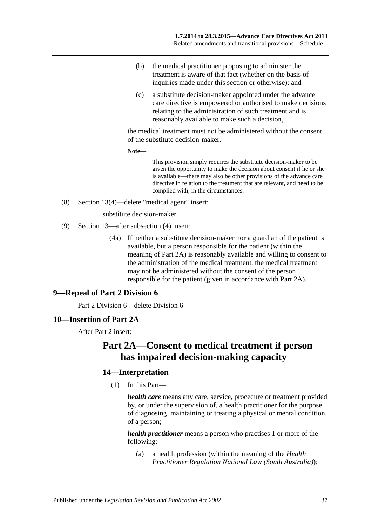- (b) the medical practitioner proposing to administer the treatment is aware of that fact (whether on the basis of inquiries made under this section or otherwise); and
- (c) a substitute decision-maker appointed under the advance care directive is empowered or authorised to make decisions relating to the administration of such treatment and is reasonably available to make such a decision,

the medical treatment must not be administered without the consent of the substitute decision-maker.

**Note—**

This provision simply requires the substitute decision-maker to be given the opportunity to make the decision about consent if he or she is available—there may also be other provisions of the advance care directive in relation to the treatment that are relevant, and need to be complied with, in the circumstances.

(8) Section 13(4)—delete "medical agent" insert:

substitute decision-maker

- (9) Section 13—after subsection (4) insert:
	- (4a) If neither a substitute decision-maker nor a guardian of the patient is available, but a person responsible for the patient (within the meaning of Part 2A) is reasonably available and willing to consent to the administration of the medical treatment, the medical treatment may not be administered without the consent of the person responsible for the patient (given in accordance with Part 2A).

# <span id="page-36-0"></span>**9—Repeal of Part 2 Division 6**

Part 2 Division 6—delete Division 6

### <span id="page-36-1"></span>**10—Insertion of Part 2A**

After Part 2 insert:

# **Part 2A—Consent to medical treatment if person has impaired decision-making capacity**

# **14—Interpretation**

(1) In this Part—

*health care* means any care, service, procedure or treatment provided by, or under the supervision of, a health practitioner for the purpose of diagnosing, maintaining or treating a physical or mental condition of a person;

*health practitioner* means a person who practises 1 or more of the following:

(a) a health profession (within the meaning of the *Health Practitioner Regulation National Law (South Australia)*);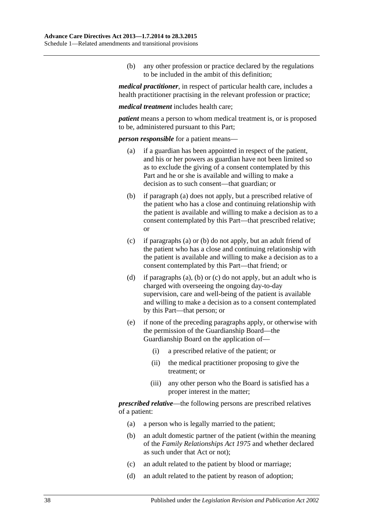(b) any other profession or practice declared by the regulations to be included in the ambit of this definition;

*medical practitioner*, in respect of particular health care, includes a health practitioner practising in the relevant profession or practice;

*medical treatment* includes health care;

*patient* means a person to whom medical treatment is, or is proposed to be, administered pursuant to this Part;

<span id="page-37-0"></span>*person responsible* for a patient means—

- (a) if a guardian has been appointed in respect of the patient, and his or her powers as guardian have not been limited so as to exclude the giving of a consent contemplated by this Part and he or she is available and willing to make a decision as to such consent—that guardian; or
- <span id="page-37-1"></span>(b) if [paragraph](#page-37-0) (a) does not apply, but a prescribed relative of the patient who has a close and continuing relationship with the patient is available and willing to make a decision as to a consent contemplated by this Part—that prescribed relative; or
- <span id="page-37-2"></span>(c) if [paragraphs](#page-37-0) (a) or [\(b\)](#page-37-1) do not apply, but an adult friend of the patient who has a close and continuing relationship with the patient is available and willing to make a decision as to a consent contemplated by this Part—that friend; or
- (d) if [paragraphs](#page-37-0) (a), [\(b\)](#page-37-1) or [\(c\)](#page-37-2) do not apply, but an adult who is charged with overseeing the ongoing day-to-day supervision, care and well-being of the patient is available and willing to make a decision as to a consent contemplated by this Part—that person; or
- (e) if none of the preceding paragraphs apply, or otherwise with the permission of the Guardianship Board—the Guardianship Board on the application of—
	- (i) a prescribed relative of the patient; or
	- (ii) the medical practitioner proposing to give the treatment; or
	- (iii) any other person who the Board is satisfied has a proper interest in the matter;

*prescribed relative*—the following persons are prescribed relatives of a patient:

- (a) a person who is legally married to the patient;
- (b) an adult domestic partner of the patient (within the meaning of the *[Family Relationships Act](http://www.legislation.sa.gov.au/index.aspx?action=legref&type=act&legtitle=Family%20Relationships%20Act%201975) 1975* and whether declared as such under that Act or not);
- (c) an adult related to the patient by blood or marriage;
- (d) an adult related to the patient by reason of adoption;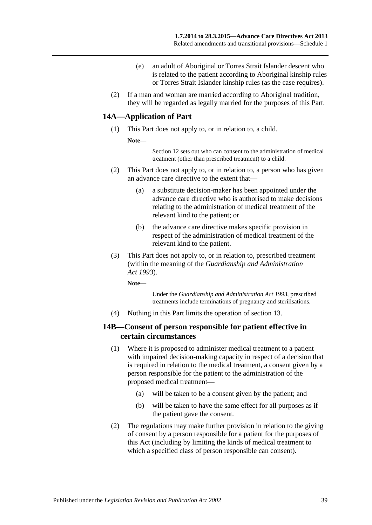- (e) an adult of Aboriginal or Torres Strait Islander descent who is related to the patient according to Aboriginal kinship rules or Torres Strait Islander kinship rules (as the case requires).
- (2) If a man and woman are married according to Aboriginal tradition, they will be regarded as legally married for the purposes of this Part.

### **14A—Application of Part**

- (1) This Part does not apply to, or in relation to, a child.
	- **Note—**

Section 12 sets out who can consent to the administration of medical treatment (other than prescribed treatment) to a child.

- (2) This Part does not apply to, or in relation to, a person who has given an advance care directive to the extent that—
	- (a) a substitute decision-maker has been appointed under the advance care directive who is authorised to make decisions relating to the administration of medical treatment of the relevant kind to the patient; or
	- (b) the advance care directive makes specific provision in respect of the administration of medical treatment of the relevant kind to the patient.
- (3) This Part does not apply to, or in relation to, prescribed treatment (within the meaning of the *[Guardianship and Administration](http://www.legislation.sa.gov.au/index.aspx?action=legref&type=act&legtitle=Guardianship%20and%20Administration%20Act%201993)  Act [1993](http://www.legislation.sa.gov.au/index.aspx?action=legref&type=act&legtitle=Guardianship%20and%20Administration%20Act%201993)*).

**Note—**

Under the *[Guardianship and Administration Act](http://www.legislation.sa.gov.au/index.aspx?action=legref&type=act&legtitle=Guardianship%20and%20Administration%20Act%201993) 1993*, prescribed treatments include terminations of pregnancy and sterilisations.

(4) Nothing in this Part limits the operation of section 13.

### **14B—Consent of person responsible for patient effective in certain circumstances**

- (1) Where it is proposed to administer medical treatment to a patient with impaired decision-making capacity in respect of a decision that is required in relation to the medical treatment, a consent given by a person responsible for the patient to the administration of the proposed medical treatment—
	- (a) will be taken to be a consent given by the patient; and
	- (b) will be taken to have the same effect for all purposes as if the patient gave the consent.
- (2) The regulations may make further provision in relation to the giving of consent by a person responsible for a patient for the purposes of this Act (including by limiting the kinds of medical treatment to which a specified class of person responsible can consent).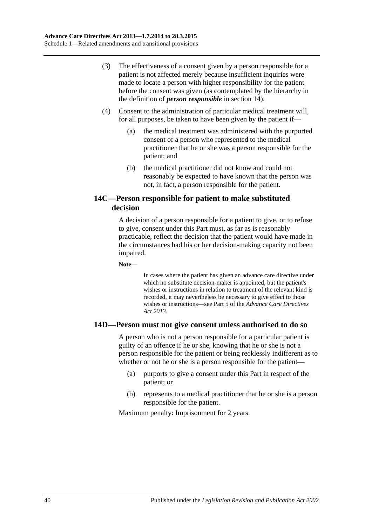- (3) The effectiveness of a consent given by a person responsible for a patient is not affected merely because insufficient inquiries were made to locate a person with higher responsibility for the patient before the consent was given (as contemplated by the hierarchy in the definition of *person responsible* in section 14).
- (4) Consent to the administration of particular medical treatment will, for all purposes, be taken to have been given by the patient if—
	- (a) the medical treatment was administered with the purported consent of a person who represented to the medical practitioner that he or she was a person responsible for the patient; and
	- (b) the medical practitioner did not know and could not reasonably be expected to have known that the person was not, in fact, a person responsible for the patient.

# **14C—Person responsible for patient to make substituted decision**

A decision of a person responsible for a patient to give, or to refuse to give, consent under this Part must, as far as is reasonably practicable, reflect the decision that the patient would have made in the circumstances had his or her decision-making capacity not been impaired.

**Note—**

In cases where the patient has given an advance care directive under which no substitute decision-maker is appointed, but the patient's wishes or instructions in relation to treatment of the relevant kind is recorded, it may nevertheless be necessary to give effect to those wishes or instructions—see Part 5 of the *[Advance Care Directives](http://www.legislation.sa.gov.au/index.aspx?action=legref&type=act&legtitle=Advance%20Care%20Directives%20Act%202013)  Act [2013](http://www.legislation.sa.gov.au/index.aspx?action=legref&type=act&legtitle=Advance%20Care%20Directives%20Act%202013)*.

# **14D—Person must not give consent unless authorised to do so**

A person who is not a person responsible for a particular patient is guilty of an offence if he or she, knowing that he or she is not a person responsible for the patient or being recklessly indifferent as to whether or not he or she is a person responsible for the patient—

- (a) purports to give a consent under this Part in respect of the patient; or
- (b) represents to a medical practitioner that he or she is a person responsible for the patient.

Maximum penalty: Imprisonment for 2 years.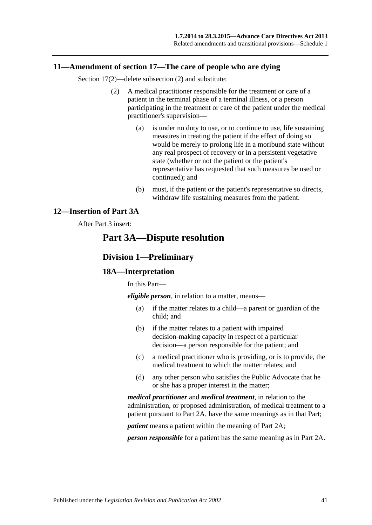### <span id="page-40-0"></span>**11—Amendment of section 17—The care of people who are dying**

Section 17(2)—delete subsection (2) and substitute:

- (2) A medical practitioner responsible for the treatment or care of a patient in the terminal phase of a terminal illness, or a person participating in the treatment or care of the patient under the medical practitioner's supervision—
	- (a) is under no duty to use, or to continue to use, life sustaining measures in treating the patient if the effect of doing so would be merely to prolong life in a moribund state without any real prospect of recovery or in a persistent vegetative state (whether or not the patient or the patient's representative has requested that such measures be used or continued); and
	- (b) must, if the patient or the patient's representative so directs, withdraw life sustaining measures from the patient.

# <span id="page-40-1"></span>**12—Insertion of Part 3A**

### After Part 3 insert:

# **Part 3A—Dispute resolution**

### **Division 1—Preliminary**

### **18A—Interpretation**

In this Part—

*eligible person*, in relation to a matter, means—

- (a) if the matter relates to a child—a parent or guardian of the child; and
- (b) if the matter relates to a patient with impaired decision-making capacity in respect of a particular decision—a person responsible for the patient; and
- (c) a medical practitioner who is providing, or is to provide, the medical treatment to which the matter relates; and
- (d) any other person who satisfies the Public Advocate that he or she has a proper interest in the matter;

*medical practitioner* and *medical treatment*, in relation to the administration, or proposed administration, of medical treatment to a patient pursuant to Part 2A, have the same meanings as in that Part;

*patient* means a patient within the meaning of Part 2A;

*person responsible* for a patient has the same meaning as in Part 2A.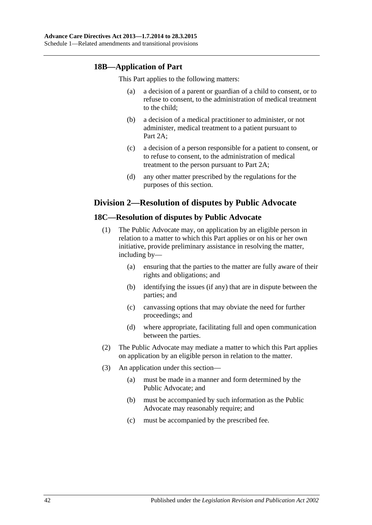# **18B—Application of Part**

This Part applies to the following matters:

- (a) a decision of a parent or guardian of a child to consent, or to refuse to consent, to the administration of medical treatment to the child;
- (b) a decision of a medical practitioner to administer, or not administer, medical treatment to a patient pursuant to Part 2A;
- (c) a decision of a person responsible for a patient to consent, or to refuse to consent, to the administration of medical treatment to the person pursuant to Part 2A;
- (d) any other matter prescribed by the regulations for the purposes of this section.

# **Division 2—Resolution of disputes by Public Advocate**

# **18C—Resolution of disputes by Public Advocate**

- (1) The Public Advocate may, on application by an eligible person in relation to a matter to which this Part applies or on his or her own initiative, provide preliminary assistance in resolving the matter, including by—
	- (a) ensuring that the parties to the matter are fully aware of their rights and obligations; and
	- (b) identifying the issues (if any) that are in dispute between the parties; and
	- (c) canvassing options that may obviate the need for further proceedings; and
	- (d) where appropriate, facilitating full and open communication between the parties.
- (2) The Public Advocate may mediate a matter to which this Part applies on application by an eligible person in relation to the matter.
- (3) An application under this section—
	- (a) must be made in a manner and form determined by the Public Advocate; and
	- (b) must be accompanied by such information as the Public Advocate may reasonably require; and
	- (c) must be accompanied by the prescribed fee.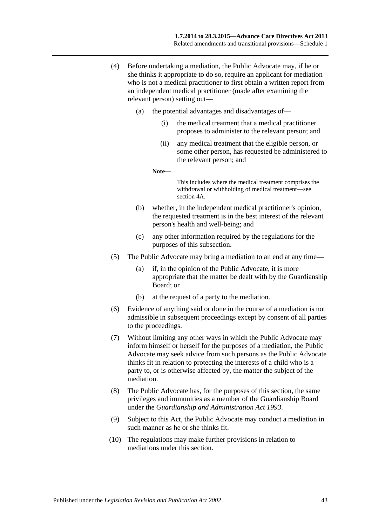- (4) Before undertaking a mediation, the Public Advocate may, if he or she thinks it appropriate to do so, require an applicant for mediation who is not a medical practitioner to first obtain a written report from an independent medical practitioner (made after examining the relevant person) setting out—
	- (a) the potential advantages and disadvantages of—
		- (i) the medical treatment that a medical practitioner proposes to administer to the relevant person; and
		- (ii) any medical treatment that the eligible person, or some other person, has requested be administered to the relevant person; and

**Note—**

This includes where the medical treatment comprises the withdrawal or withholding of medical treatment—see section 4A.

- (b) whether, in the independent medical practitioner's opinion, the requested treatment is in the best interest of the relevant person's health and well-being; and
- (c) any other information required by the regulations for the purposes of this subsection.
- (5) The Public Advocate may bring a mediation to an end at any time—
	- (a) if, in the opinion of the Public Advocate, it is more appropriate that the matter be dealt with by the Guardianship Board; or
	- (b) at the request of a party to the mediation.
- (6) Evidence of anything said or done in the course of a mediation is not admissible in subsequent proceedings except by consent of all parties to the proceedings.
- (7) Without limiting any other ways in which the Public Advocate may inform himself or herself for the purposes of a mediation, the Public Advocate may seek advice from such persons as the Public Advocate thinks fit in relation to protecting the interests of a child who is a party to, or is otherwise affected by, the matter the subject of the mediation.
- (8) The Public Advocate has, for the purposes of this section, the same privileges and immunities as a member of the Guardianship Board under the *[Guardianship and Administration Act](http://www.legislation.sa.gov.au/index.aspx?action=legref&type=act&legtitle=Guardianship%20and%20Administration%20Act%201993) 1993*.
- (9) Subject to this Act, the Public Advocate may conduct a mediation in such manner as he or she thinks fit.
- (10) The regulations may make further provisions in relation to mediations under this section.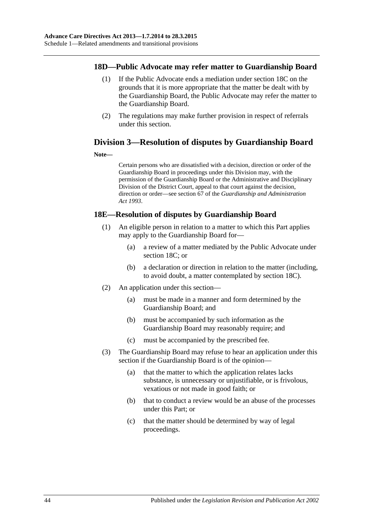### **18D—Public Advocate may refer matter to Guardianship Board**

- (1) If the Public Advocate ends a mediation under section 18C on the grounds that it is more appropriate that the matter be dealt with by the Guardianship Board, the Public Advocate may refer the matter to the Guardianship Board.
- (2) The regulations may make further provision in respect of referrals under this section.

# **Division 3—Resolution of disputes by Guardianship Board**

#### **Note—**

Certain persons who are dissatisfied with a decision, direction or order of the Guardianship Board in proceedings under this Division may, with the permission of the Guardianship Board or the Administrative and Disciplinary Division of the District Court, appeal to that court against the decision, direction or order—see section 67 of the *[Guardianship and Administration](http://www.legislation.sa.gov.au/index.aspx?action=legref&type=act&legtitle=Guardianship%20and%20Administration%20Act%201993)  Act [1993](http://www.legislation.sa.gov.au/index.aspx?action=legref&type=act&legtitle=Guardianship%20and%20Administration%20Act%201993)*.

# **18E—Resolution of disputes by Guardianship Board**

- (1) An eligible person in relation to a matter to which this Part applies may apply to the Guardianship Board for—
	- (a) a review of a matter mediated by the Public Advocate under section 18C; or
	- (b) a declaration or direction in relation to the matter (including, to avoid doubt, a matter contemplated by section 18C).
- (2) An application under this section—
	- (a) must be made in a manner and form determined by the Guardianship Board; and
	- (b) must be accompanied by such information as the Guardianship Board may reasonably require; and
	- (c) must be accompanied by the prescribed fee.
- (3) The Guardianship Board may refuse to hear an application under this section if the Guardianship Board is of the opinion—
	- (a) that the matter to which the application relates lacks substance, is unnecessary or unjustifiable, or is frivolous, vexatious or not made in good faith; or
	- (b) that to conduct a review would be an abuse of the processes under this Part; or
	- (c) that the matter should be determined by way of legal proceedings.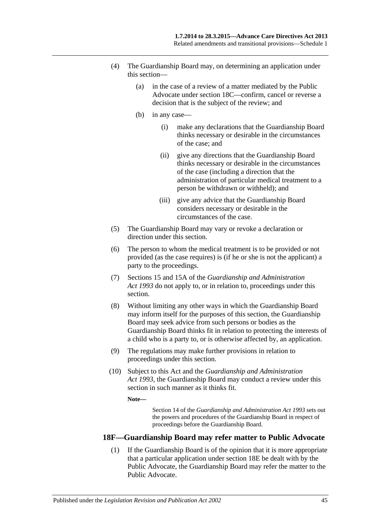- (4) The Guardianship Board may, on determining an application under this section—
	- (a) in the case of a review of a matter mediated by the Public Advocate under section 18C—confirm, cancel or reverse a decision that is the subject of the review; and
	- (b) in any case—
		- (i) make any declarations that the Guardianship Board thinks necessary or desirable in the circumstances of the case; and
		- (ii) give any directions that the Guardianship Board thinks necessary or desirable in the circumstances of the case (including a direction that the administration of particular medical treatment to a person be withdrawn or withheld); and
		- (iii) give any advice that the Guardianship Board considers necessary or desirable in the circumstances of the case.
- (5) The Guardianship Board may vary or revoke a declaration or direction under this section.
- (6) The person to whom the medical treatment is to be provided or not provided (as the case requires) is (if he or she is not the applicant) a party to the proceedings.
- (7) Sections 15 and 15A of the *[Guardianship and Administration](http://www.legislation.sa.gov.au/index.aspx?action=legref&type=act&legtitle=Guardianship%20and%20Administration%20Act%201993)  Act [1993](http://www.legislation.sa.gov.au/index.aspx?action=legref&type=act&legtitle=Guardianship%20and%20Administration%20Act%201993)* do not apply to, or in relation to, proceedings under this section.
- (8) Without limiting any other ways in which the Guardianship Board may inform itself for the purposes of this section, the Guardianship Board may seek advice from such persons or bodies as the Guardianship Board thinks fit in relation to protecting the interests of a child who is a party to, or is otherwise affected by, an application.
- (9) The regulations may make further provisions in relation to proceedings under this section.
- (10) Subject to this Act and the *[Guardianship and Administration](http://www.legislation.sa.gov.au/index.aspx?action=legref&type=act&legtitle=Guardianship%20and%20Administration%20Act%201993)  Act [1993](http://www.legislation.sa.gov.au/index.aspx?action=legref&type=act&legtitle=Guardianship%20and%20Administration%20Act%201993)*, the Guardianship Board may conduct a review under this section in such manner as it thinks fit.

**Note—**

Section 14 of the *[Guardianship and Administration Act](http://www.legislation.sa.gov.au/index.aspx?action=legref&type=act&legtitle=Guardianship%20and%20Administration%20Act%201993) 1993* sets out the powers and procedures of the Guardianship Board in respect of proceedings before the Guardianship Board.

### **18F—Guardianship Board may refer matter to Public Advocate**

(1) If the Guardianship Board is of the opinion that it is more appropriate that a particular application under section 18E be dealt with by the Public Advocate, the Guardianship Board may refer the matter to the Public Advocate.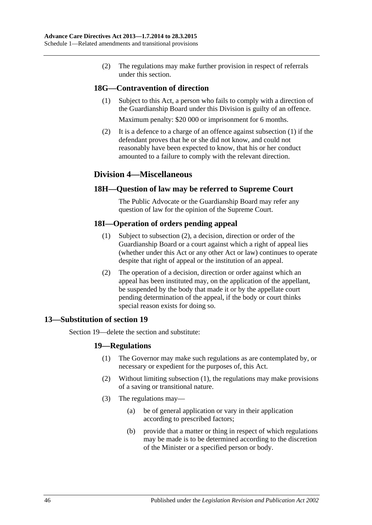(2) The regulations may make further provision in respect of referrals under this section.

# <span id="page-45-1"></span>**18G—Contravention of direction**

(1) Subject to this Act, a person who fails to comply with a direction of the Guardianship Board under this Division is guilty of an offence.

Maximum penalty: \$20 000 or imprisonment for 6 months.

(2) It is a defence to a charge of an offence against [subsection](#page-45-1) (1) if the defendant proves that he or she did not know, and could not reasonably have been expected to know, that his or her conduct amounted to a failure to comply with the relevant direction.

# **Division 4—Miscellaneous**

# **18H—Question of law may be referred to Supreme Court**

The Public Advocate or the Guardianship Board may refer any question of law for the opinion of the Supreme Court.

# **18I—Operation of orders pending appeal**

- (1) Subject to [subsection](#page-45-2) (2), a decision, direction or order of the Guardianship Board or a court against which a right of appeal lies (whether under this Act or any other Act or law) continues to operate despite that right of appeal or the institution of an appeal.
- (2) The operation of a decision, direction or order against which an appeal has been instituted may, on the application of the appellant, be suspended by the body that made it or by the appellate court pending determination of the appeal, if the body or court thinks special reason exists for doing so.

# <span id="page-45-2"></span><span id="page-45-0"></span>**13—Substitution of section 19**

<span id="page-45-3"></span>Section 19—delete the section and substitute:

# **19—Regulations**

- (1) The Governor may make such regulations as are contemplated by, or necessary or expedient for the purposes of, this Act.
- (2) Without limiting [subsection](#page-45-3) (1), the regulations may make provisions of a saving or transitional nature.
- (3) The regulations may—
	- (a) be of general application or vary in their application according to prescribed factors;
	- (b) provide that a matter or thing in respect of which regulations may be made is to be determined according to the discretion of the Minister or a specified person or body.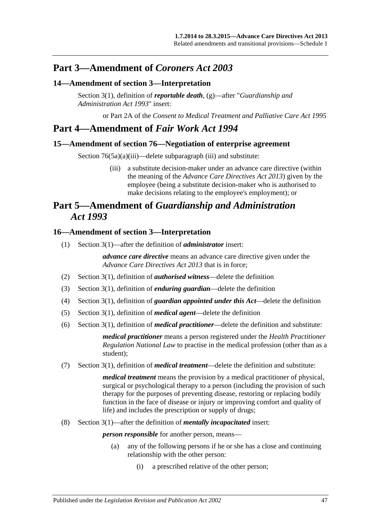# **Part 3—Amendment of** *Coroners Act 2003*

# <span id="page-46-0"></span>**14—Amendment of section 3—Interpretation**

Section 3(1), definition of *reportable death*, (g)—after "*[Guardianship and](http://www.legislation.sa.gov.au/index.aspx?action=legref&type=act&legtitle=Guardianship%20and%20Administration%20Act%201993)  [Administration Act](http://www.legislation.sa.gov.au/index.aspx?action=legref&type=act&legtitle=Guardianship%20and%20Administration%20Act%201993) 1993*" insert:

or Part 2A of the *[Consent to Medical Treatment and Palliative Care Act](http://www.legislation.sa.gov.au/index.aspx?action=legref&type=act&legtitle=Consent%20to%20Medical%20Treatment%20and%20Palliative%20Care%20Act%201995) 1995*

# **Part 4—Amendment of** *Fair Work Act 1994*

### <span id="page-46-1"></span>**15—Amendment of section 76—Negotiation of enterprise agreement**

Section 76(5a)(a)(iii)—delete subparagraph (iii) and substitute:

(iii) a substitute decision-maker under an advance care directive (within the meaning of the *[Advance Care Directives Act](http://www.legislation.sa.gov.au/index.aspx?action=legref&type=act&legtitle=Advance%20Care%20Directives%20Act%202013) 2013*) given by the employee (being a substitute decision-maker who is authorised to make decisions relating to the employee's employment); or

# **Part 5—Amendment of** *Guardianship and Administration Act 1993*

### <span id="page-46-2"></span>**16—Amendment of section 3—Interpretation**

(1) Section 3(1)—after the definition of *administrator* insert:

*advance care directive* means an advance care directive given under the *[Advance Care Directives Act](http://www.legislation.sa.gov.au/index.aspx?action=legref&type=act&legtitle=Advance%20Care%20Directives%20Act%202013) 2013* that is in force;

- (2) Section 3(1), definition of *authorised witness*—delete the definition
- (3) Section 3(1), definition of *enduring guardian*—delete the definition
- (4) Section 3(1), definition of *guardian appointed under this Act*—delete the definition
- (5) Section 3(1), definition of *medical agent*—delete the definition
- (6) Section 3(1), definition of *medical practitioner*—delete the definition and substitute:

*medical practitioner* means a person registered under the *Health Practitioner Regulation National Law* to practise in the medical profession (other than as a student);

(7) Section 3(1), definition of *medical treatment*—delete the definition and substitute:

*medical treatment* means the provision by a medical practitioner of physical, surgical or psychological therapy to a person (including the provision of such therapy for the purposes of preventing disease, restoring or replacing bodily function in the face of disease or injury or improving comfort and quality of life) and includes the prescription or supply of drugs;

(8) Section 3(1)—after the definition of *mentally incapacitated* insert:

*person responsible* for another person, means—

- (a) any of the following persons if he or she has a close and continuing relationship with the other person:
	- (i) a prescribed relative of the other person;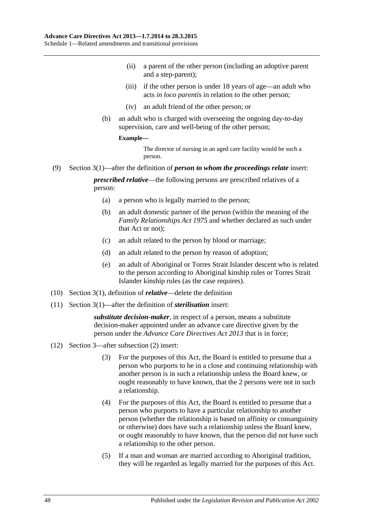- (ii) a parent of the other person (including an adoptive parent and a step-parent);
- (iii) if the other person is under 18 years of age—an adult who acts *in loco parentis* in relation to the other person;
- (iv) an adult friend of the other person; or
- (b) an adult who is charged with overseeing the ongoing day-to-day supervision, care and well-being of the other person;

#### **Example—**

The director of nursing in an aged care facility would be such a person.

(9) Section 3(1)—after the definition of *person to whom the proceedings relate* insert:

*prescribed relative*—the following persons are prescribed relatives of a person:

- (a) a person who is legally married to the person;
- (b) an adult domestic partner of the person (within the meaning of the *[Family Relationships Act](http://www.legislation.sa.gov.au/index.aspx?action=legref&type=act&legtitle=Family%20Relationships%20Act%201975) 1975* and whether declared as such under that Act or not);
- (c) an adult related to the person by blood or marriage;
- (d) an adult related to the person by reason of adoption;
- (e) an adult of Aboriginal or Torres Strait Islander descent who is related to the person according to Aboriginal kinship rules or Torres Strait Islander kinship rules (as the case requires).
- (10) Section 3(1), definition of *relative*—delete the definition
- (11) Section 3(1)—after the definition of *sterilisation* insert:

*substitute decision-maker*, in respect of a person, means a substitute decision-maker appointed under an advance care directive given by the person under the *[Advance Care Directives Act](http://www.legislation.sa.gov.au/index.aspx?action=legref&type=act&legtitle=Advance%20Care%20Directives%20Act%202013) 2013* that is in force;

- (12) Section 3—after subsection (2) insert:
	- (3) For the purposes of this Act, the Board is entitled to presume that a person who purports to be in a close and continuing relationship with another person is in such a relationship unless the Board knew, or ought reasonably to have known, that the 2 persons were not in such a relationship.
	- (4) For the purposes of this Act, the Board is entitled to presume that a person who purports to have a particular relationship to another person (whether the relationship is based on affinity or consanguinity or otherwise) does have such a relationship unless the Board knew, or ought reasonably to have known, that the person did not have such a relationship to the other person.
	- (5) If a man and woman are married according to Aboriginal tradition, they will be regarded as legally married for the purposes of this Act.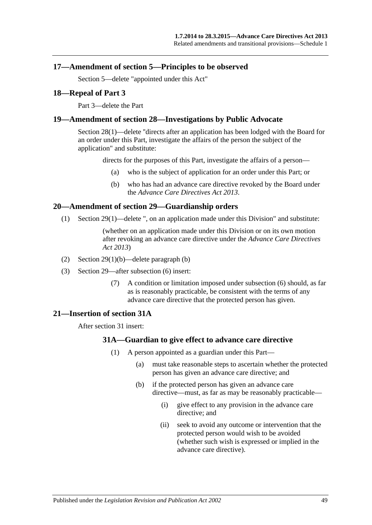### <span id="page-48-0"></span>**17—Amendment of section 5—Principles to be observed**

Section 5—delete "appointed under this Act"

### <span id="page-48-1"></span>**18—Repeal of Part 3**

Part 3—delete the Part

### <span id="page-48-2"></span>**19—Amendment of section 28—Investigations by Public Advocate**

Section 28(1)—delete ''directs after an application has been lodged with the Board for an order under this Part, investigate the affairs of the person the subject of the application" and substitute:

directs for the purposes of this Part, investigate the affairs of a person—

- (a) who is the subject of application for an order under this Part; or
- (b) who has had an advance care directive revoked by the Board under the *[Advance Care Directives Act](http://www.legislation.sa.gov.au/index.aspx?action=legref&type=act&legtitle=Advance%20Care%20Directives%20Act%202013) 2013*.

### <span id="page-48-3"></span>**20—Amendment of section 29—Guardianship orders**

(1) Section 29(1)—delete ", on an application made under this Division" and substitute:

(whether on an application made under this Division or on its own motion after revoking an advance care directive under the *[Advance Care Directives](http://www.legislation.sa.gov.au/index.aspx?action=legref&type=act&legtitle=Advance%20Care%20Directives%20Act%202013)  Act [2013](http://www.legislation.sa.gov.au/index.aspx?action=legref&type=act&legtitle=Advance%20Care%20Directives%20Act%202013)*)

- (2) Section 29(1)(b)—delete paragraph (b)
- (3) Section 29—after subsection (6) insert:
	- (7) A condition or limitation imposed under subsection (6) should, as far as is reasonably practicable, be consistent with the terms of any advance care directive that the protected person has given.

### <span id="page-48-5"></span><span id="page-48-4"></span>**21—Insertion of section 31A**

After section 31 insert:

### **31A—Guardian to give effect to advance care directive**

- (1) A person appointed as a guardian under this Part—
	- (a) must take reasonable steps to ascertain whether the protected person has given an advance care directive; and
	- (b) if the protected person has given an advance care directive—must, as far as may be reasonably practicable—
		- (i) give effect to any provision in the advance care directive; and
		- (ii) seek to avoid any outcome or intervention that the protected person would wish to be avoided (whether such wish is expressed or implied in the advance care directive).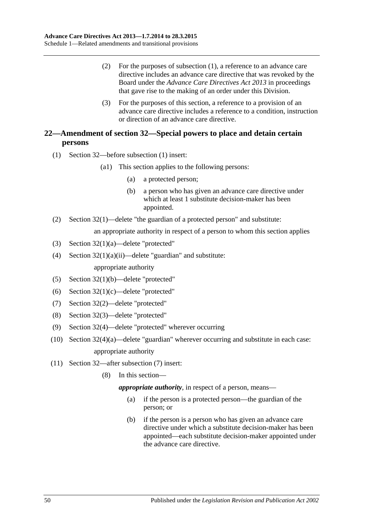- (2) For the purposes of [subsection](#page-48-5) (1), a reference to an advance care directive includes an advance care directive that was revoked by the Board under the *[Advance Care Directives Act](http://www.legislation.sa.gov.au/index.aspx?action=legref&type=act&legtitle=Advance%20Care%20Directives%20Act%202013) 2013* in proceedings that gave rise to the making of an order under this Division.
- (3) For the purposes of this section, a reference to a provision of an advance care directive includes a reference to a condition, instruction or direction of an advance care directive.

# <span id="page-49-0"></span>**22—Amendment of section 32—Special powers to place and detain certain persons**

- (1) Section 32—before subsection (1) insert:
	- (a1) This section applies to the following persons:
		- (a) a protected person;
		- (b) a person who has given an advance care directive under which at least 1 substitute decision-maker has been appointed.
- (2) Section 32(1)—delete "the guardian of a protected person" and substitute:

an appropriate authority in respect of a person to whom this section applies

- (3) Section 32(1)(a)—delete "protected"
- (4) Section  $32(1)(a)(ii)$ —delete "guardian" and substitute: appropriate authority
- (5) Section 32(1)(b)—delete "protected"
- (6) Section 32(1)(c)—delete "protected"
- (7) Section 32(2)—delete "protected"
- (8) Section 32(3)—delete "protected"
- (9) Section 32(4)—delete "protected" wherever occurring
- (10) Section 32(4)(a)—delete "guardian" wherever occurring and substitute in each case: appropriate authority
- (11) Section 32—after subsection (7) insert:
	- (8) In this section—

*appropriate authority*, in respect of a person, means—

- (a) if the person is a protected person—the guardian of the person; or
- (b) if the person is a person who has given an advance care directive under which a substitute decision-maker has been appointed—each substitute decision-maker appointed under the advance care directive.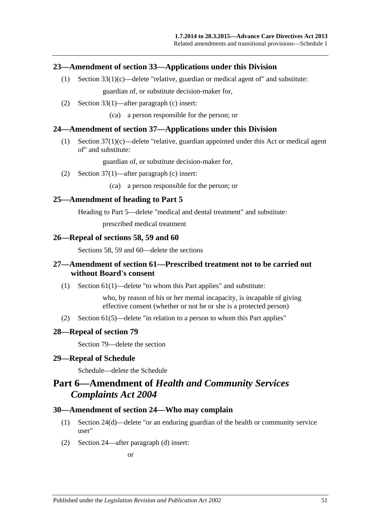### <span id="page-50-0"></span>**23—Amendment of section 33—Applications under this Division**

- (1) Section  $33(1)(c)$ —delete "relative, guardian or medical agent of" and substitute: guardian of, or substitute decision-maker for,
- (2) Section 33(1)—after paragraph (c) insert:

(ca) a person responsible for the person; or

### <span id="page-50-1"></span>**24—Amendment of section 37—Applications under this Division**

(1) Section 37(1)(c)—delete "relative, guardian appointed under this Act or medical agent of" and substitute:

guardian of, or substitute decision-maker for,

(2) Section 37(1)—after paragraph (c) insert:

(ca) a person responsible for the person; or

### <span id="page-50-2"></span>**25—Amendment of heading to Part 5**

Heading to Part 5—delete "medical and dental treatment" and substitute:

prescribed medical treatment

#### <span id="page-50-3"></span>**26—Repeal of sections 58, 59 and 60**

Sections 58, 59 and 60—delete the sections

# <span id="page-50-4"></span>**27—Amendment of section 61—Prescribed treatment not to be carried out without Board's consent**

(1) Section 61(1)—delete "to whom this Part applies" and substitute:

who, by reason of his or her mental incapacity, is incapable of giving effective consent (whether or not he or she is a protected person)

(2) Section 61(5)—delete "in relation to a person to whom this Part applies"

### <span id="page-50-5"></span>**28—Repeal of section 79**

Section 79—delete the section

#### <span id="page-50-6"></span>**29—Repeal of Schedule**

Schedule—delete the Schedule

# **Part 6—Amendment of** *Health and Community Services Complaints Act 2004*

#### <span id="page-50-7"></span>**30—Amendment of section 24—Who may complain**

- (1) Section 24(d)—delete "or an enduring guardian of the health or community service user"
- (2) Section 24—after paragraph (d) insert:

or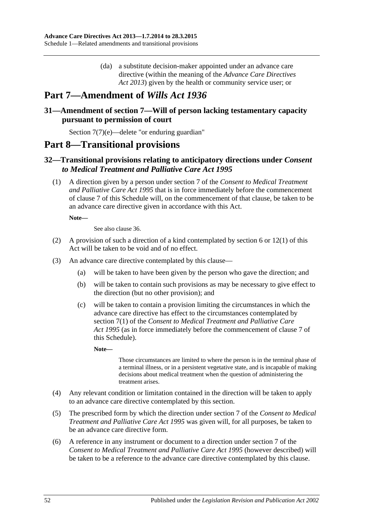(da) a substitute decision-maker appointed under an advance care directive (within the meaning of the *[Advance Care Directives](http://www.legislation.sa.gov.au/index.aspx?action=legref&type=act&legtitle=Advance%20Care%20Directives%20Act%202013)  Act [2013](http://www.legislation.sa.gov.au/index.aspx?action=legref&type=act&legtitle=Advance%20Care%20Directives%20Act%202013)*) given by the health or community service user; or

# **Part 7—Amendment of** *Wills Act 1936*

# <span id="page-51-0"></span>**31—Amendment of section 7—Will of person lacking testamentary capacity pursuant to permission of court**

Section 7(7)(e)—delete "or enduring guardian"

# **Part 8—Transitional provisions**

# <span id="page-51-1"></span>**32—Transitional provisions relating to anticipatory directions under** *Consent to Medical Treatment and Palliative Care Act 1995*

(1) A direction given by a person under section 7 of the *[Consent to Medical Treatment](http://www.legislation.sa.gov.au/index.aspx?action=legref&type=act&legtitle=Consent%20to%20Medical%20Treatment%20and%20Palliative%20Care%20Act%201995)  [and Palliative Care Act](http://www.legislation.sa.gov.au/index.aspx?action=legref&type=act&legtitle=Consent%20to%20Medical%20Treatment%20and%20Palliative%20Care%20Act%201995) 1995* that is in force immediately before the commencement of [clause](#page-34-3) 7 of this Schedule will, on the commencement of that clause, be taken to be an advance care directive given in accordance with this Act.

**Note—**

See also [clause](#page-54-0) 36.

- <span id="page-51-2"></span>(2) A provision of such a direction of a kind contemplated by [section](#page-5-2) 6 or [12\(1\)](#page-10-2) of this Act will be taken to be void and of no effect.
- <span id="page-51-3"></span>(3) An advance care directive contemplated by this clause—
	- (a) will be taken to have been given by the person who gave the direction; and
	- (b) will be taken to contain such provisions as may be necessary to give effect to the direction (but no other provision); and
	- (c) will be taken to contain a provision limiting the circumstances in which the advance care directive has effect to the circumstances contemplated by section 7(1) of the *[Consent to Medical Treatment and Palliative Care](http://www.legislation.sa.gov.au/index.aspx?action=legref&type=act&legtitle=Consent%20to%20Medical%20Treatment%20and%20Palliative%20Care%20Act%201995)  Act [1995](http://www.legislation.sa.gov.au/index.aspx?action=legref&type=act&legtitle=Consent%20to%20Medical%20Treatment%20and%20Palliative%20Care%20Act%201995)* (as in force immediately before the commencement of [clause](#page-34-3) 7 of this Schedule).

**Note—**

Those circumstances are limited to where the person is in the terminal phase of a terminal illness, or in a persistent vegetative state, and is incapable of making decisions about medical treatment when the question of administering the treatment arises.

- <span id="page-51-4"></span>(4) Any relevant condition or limitation contained in the direction will be taken to apply to an advance care directive contemplated by this section.
- (5) The prescribed form by which the direction under section 7 of the *[Consent to Medical](http://www.legislation.sa.gov.au/index.aspx?action=legref&type=act&legtitle=Consent%20to%20Medical%20Treatment%20and%20Palliative%20Care%20Act%201995)  [Treatment and Palliative Care Act](http://www.legislation.sa.gov.au/index.aspx?action=legref&type=act&legtitle=Consent%20to%20Medical%20Treatment%20and%20Palliative%20Care%20Act%201995) 1995* was given will, for all purposes, be taken to be an advance care directive form.
- (6) A reference in any instrument or document to a direction under section 7 of the *[Consent to Medical Treatment and Palliative Care Act](http://www.legislation.sa.gov.au/index.aspx?action=legref&type=act&legtitle=Consent%20to%20Medical%20Treatment%20and%20Palliative%20Care%20Act%201995) 1995* (however described) will be taken to be a reference to the advance care directive contemplated by this clause.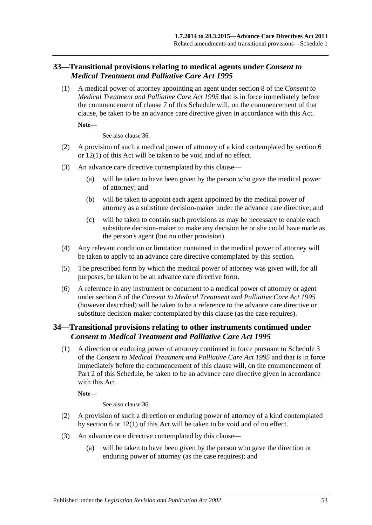# <span id="page-52-0"></span>**33—Transitional provisions relating to medical agents under** *Consent to Medical Treatment and Palliative Care Act 1995*

(1) A medical power of attorney appointing an agent under section 8 of the *[Consent to](http://www.legislation.sa.gov.au/index.aspx?action=legref&type=act&legtitle=Consent%20to%20Medical%20Treatment%20and%20Palliative%20Care%20Act%201995)  [Medical Treatment and Palliative Care Act](http://www.legislation.sa.gov.au/index.aspx?action=legref&type=act&legtitle=Consent%20to%20Medical%20Treatment%20and%20Palliative%20Care%20Act%201995) 1995* that is in force immediately before the commencement of [clause](#page-34-3) 7 of this Schedule will, on the commencement of that clause, be taken to be an advance care directive given in accordance with this Act.

**Note—**

See also [clause](#page-54-0) 36.

- <span id="page-52-2"></span>(2) A provision of such a medical power of attorney of a kind contemplated by [section](#page-5-2) 6 or [12\(1\)](#page-10-2) of this Act will be taken to be void and of no effect.
- <span id="page-52-3"></span>(3) An advance care directive contemplated by this clause—
	- (a) will be taken to have been given by the person who gave the medical power of attorney; and
	- (b) will be taken to appoint each agent appointed by the medical power of attorney as a substitute decision-maker under the advance care directive; and
	- (c) will be taken to contain such provisions as may be necessary to enable each substitute decision-maker to make any decision he or she could have made as the person's agent (but no other provision).
- <span id="page-52-4"></span>(4) Any relevant condition or limitation contained in the medical power of attorney will be taken to apply to an advance care directive contemplated by this section.
- (5) The prescribed form by which the medical power of attorney was given will, for all purposes, be taken to be an advance care directive form.
- (6) A reference in any instrument or document to a medical power of attorney or agent under section 8 of the *[Consent to Medical Treatment and Palliative Care Act](http://www.legislation.sa.gov.au/index.aspx?action=legref&type=act&legtitle=Consent%20to%20Medical%20Treatment%20and%20Palliative%20Care%20Act%201995) 1995* (however described) will be taken to be a reference to the advance care directive or substitute decision-maker contemplated by this clause (as the case requires).

# <span id="page-52-1"></span>**34—Transitional provisions relating to other instruments continued under**  *Consent to Medical Treatment and Palliative Care Act 1995*

(1) A direction or enduring power of attorney continued in force pursuant to Schedule 3 of the *[Consent to Medical Treatment and Palliative Care Act](http://www.legislation.sa.gov.au/index.aspx?action=legref&type=act&legtitle=Consent%20to%20Medical%20Treatment%20and%20Palliative%20Care%20Act%201995) 1995* and that is in force immediately before the commencement of this clause will, on the commencement of Part 2 of this Schedule, be taken to be an advance care directive given in accordance with this Act.

**Note—**

See also [clause](#page-54-0) 36.

- <span id="page-52-5"></span>(2) A provision of such a direction or enduring power of attorney of a kind contemplated by [section](#page-5-2) 6 or [12\(1\)](#page-10-2) of this Act will be taken to be void and of no effect.
- <span id="page-52-6"></span>(3) An advance care directive contemplated by this clause—
	- (a) will be taken to have been given by the person who gave the direction or enduring power of attorney (as the case requires); and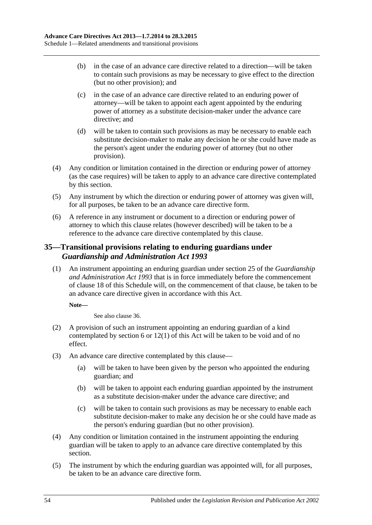- (b) in the case of an advance care directive related to a direction—will be taken to contain such provisions as may be necessary to give effect to the direction (but no other provision); and
- (c) in the case of an advance care directive related to an enduring power of attorney—will be taken to appoint each agent appointed by the enduring power of attorney as a substitute decision-maker under the advance care directive; and
- (d) will be taken to contain such provisions as may be necessary to enable each substitute decision-maker to make any decision he or she could have made as the person's agent under the enduring power of attorney (but no other provision).
- <span id="page-53-1"></span>(4) Any condition or limitation contained in the direction or enduring power of attorney (as the case requires) will be taken to apply to an advance care directive contemplated by this section.
- (5) Any instrument by which the direction or enduring power of attorney was given will, for all purposes, be taken to be an advance care directive form.
- (6) A reference in any instrument or document to a direction or enduring power of attorney to which this clause relates (however described) will be taken to be a reference to the advance care directive contemplated by this clause.

# <span id="page-53-0"></span>**35—Transitional provisions relating to enduring guardians under**  *Guardianship and Administration Act 1993*

(1) An instrument appointing an enduring guardian under section 25 of the *[Guardianship](http://www.legislation.sa.gov.au/index.aspx?action=legref&type=act&legtitle=Guardianship%20and%20Administration%20Act%201993)  [and Administration Act](http://www.legislation.sa.gov.au/index.aspx?action=legref&type=act&legtitle=Guardianship%20and%20Administration%20Act%201993) 1993* that is in force immediately before the commencement of [clause](#page-48-1) 18 of this Schedule will, on the commencement of that clause, be taken to be an advance care directive given in accordance with this Act.

### **Note—**

See also [clause](#page-54-0) 36.

- <span id="page-53-2"></span>(2) A provision of such an instrument appointing an enduring guardian of a kind contemplated by [section](#page-5-2) 6 or [12\(1\)](#page-10-2) of this Act will be taken to be void and of no effect.
- <span id="page-53-3"></span>(3) An advance care directive contemplated by this clause—
	- (a) will be taken to have been given by the person who appointed the enduring guardian; and
	- (b) will be taken to appoint each enduring guardian appointed by the instrument as a substitute decision-maker under the advance care directive; and
	- (c) will be taken to contain such provisions as may be necessary to enable each substitute decision-maker to make any decision he or she could have made as the person's enduring guardian (but no other provision).
- <span id="page-53-4"></span>(4) Any condition or limitation contained in the instrument appointing the enduring guardian will be taken to apply to an advance care directive contemplated by this section.
- (5) The instrument by which the enduring guardian was appointed will, for all purposes, be taken to be an advance care directive form.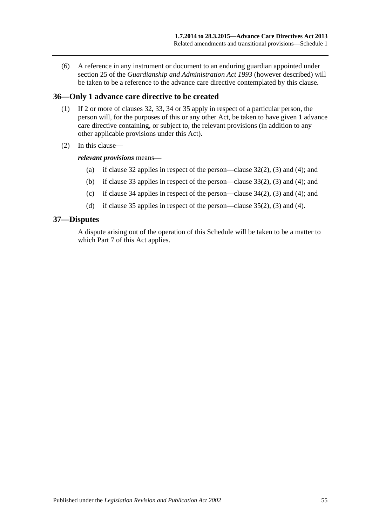(6) A reference in any instrument or document to an enduring guardian appointed under section 25 of the *[Guardianship and Administration Act](http://www.legislation.sa.gov.au/index.aspx?action=legref&type=act&legtitle=Guardianship%20and%20Administration%20Act%201993) 1993* (however described) will be taken to be a reference to the advance care directive contemplated by this clause.

# <span id="page-54-0"></span>**36—Only 1 advance care directive to be created**

- (1) If 2 or more of [clauses](#page-51-1) 32, [33,](#page-52-0) [34](#page-52-1) or [35](#page-53-0) apply in respect of a particular person, the person will, for the purposes of this or any other Act, be taken to have given 1 advance care directive containing, or subject to, the relevant provisions (in addition to any other applicable provisions under this Act).
- (2) In this clause—

#### *relevant provisions* means—

- (a) if [clause](#page-51-1) 32 applies in respect of the person[—clause](#page-51-2) 32(2), [\(3\)](#page-51-3) and [\(4\);](#page-51-4) and
- (b) if [clause](#page-52-0) 33 applies in respect of the person[—clause](#page-52-2) 33(2), [\(3\)](#page-52-3) and [\(4\);](#page-52-4) and
- (c) if [clause](#page-52-1) 34 applies in respect of the person[—clause](#page-52-5) 34(2), [\(3\)](#page-52-6) and [\(4\);](#page-53-1) and
- (d) if [clause](#page-53-0) 35 applies in respect of the person[—clause](#page-53-2) 35(2), [\(3\)](#page-53-3) and [\(4\).](#page-53-4)

#### <span id="page-54-1"></span>**37—Disputes**

A dispute arising out of the operation of this Schedule will be taken to be a matter to which [Part](#page-21-4) 7 of this Act applies.